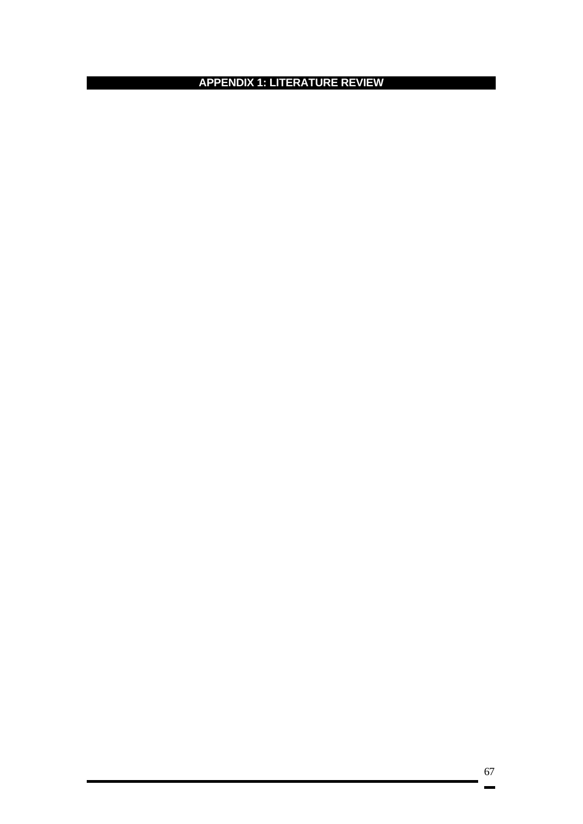**APPENDIX 1: LITERATURE REVIEW**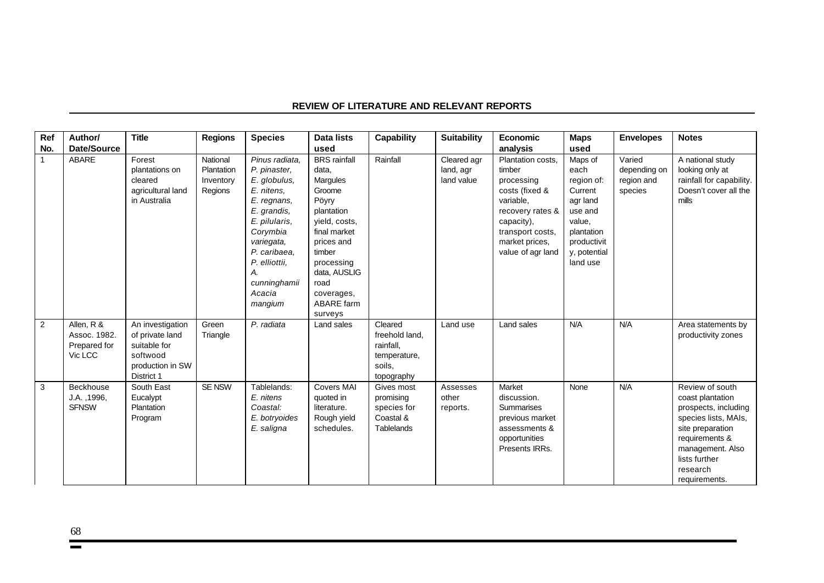| Ref            | Author/                                               | <b>Title</b>                                                                                      | <b>Regions</b>                                 | <b>Species</b>                                                                                                                                                                                                    | <b>Data lists</b>                                                                                                                                                                                               | Capability                                                                     | <b>Suitability</b>                     | Economic                                                                                                                                                              | <b>Maps</b>                                                                                                                        | <b>Envelopes</b>                                | <b>Notes</b>                                                                                                                                                                                |
|----------------|-------------------------------------------------------|---------------------------------------------------------------------------------------------------|------------------------------------------------|-------------------------------------------------------------------------------------------------------------------------------------------------------------------------------------------------------------------|-----------------------------------------------------------------------------------------------------------------------------------------------------------------------------------------------------------------|--------------------------------------------------------------------------------|----------------------------------------|-----------------------------------------------------------------------------------------------------------------------------------------------------------------------|------------------------------------------------------------------------------------------------------------------------------------|-------------------------------------------------|---------------------------------------------------------------------------------------------------------------------------------------------------------------------------------------------|
| No.            | Date/Source                                           |                                                                                                   |                                                |                                                                                                                                                                                                                   | used                                                                                                                                                                                                            |                                                                                |                                        | analysis                                                                                                                                                              | used                                                                                                                               |                                                 |                                                                                                                                                                                             |
| $\mathbf{1}$   | <b>ABARE</b>                                          | Forest<br>plantations on<br>cleared<br>agricultural land<br>in Australia                          | National<br>Plantation<br>Inventory<br>Regions | Pinus radiata.<br>P. pinaster,<br>E. globulus,<br>E. nitens,<br>E. regnans,<br>E. grandis,<br>E. pilularis,<br>Corymbia<br>variegata,<br>P. caribaea.<br>P. elliottii,<br>А.<br>cunninghamii<br>Acacia<br>mangium | <b>BRS</b> rainfall<br>data,<br>Margules<br>Groome<br>Pöyry<br>plantation<br>yield, costs,<br>final market<br>prices and<br>timber<br>processing<br>data, AUSLIG<br>road<br>coverages,<br>ABARE farm<br>surveys | Rainfall                                                                       | Cleared agr<br>land, agr<br>land value | Plantation costs.<br>timber<br>processing<br>costs (fixed &<br>variable,<br>recovery rates &<br>capacity),<br>transport costs,<br>market prices,<br>value of agr land | Maps of<br>each<br>region of:<br>Current<br>agr land<br>use and<br>value,<br>plantation<br>productivit<br>y, potential<br>land use | Varied<br>depending on<br>region and<br>species | A national study<br>looking only at<br>rainfall for capability.<br>Doesn't cover all the<br>mills                                                                                           |
| $\overline{2}$ | Allen, R &<br>Assoc. 1982.<br>Prepared for<br>Vic LCC | An investigation<br>of private land<br>suitable for<br>softwood<br>production in SW<br>District 1 | Green<br>Triangle                              | P. radiata                                                                                                                                                                                                        | Land sales                                                                                                                                                                                                      | Cleared<br>freehold land,<br>rainfall.<br>temperature,<br>soils.<br>topography | Land use                               | Land sales                                                                                                                                                            | N/A                                                                                                                                | N/A                                             | Area statements by<br>productivity zones                                                                                                                                                    |
| 3              | Beckhouse<br>J.A., 1996,<br><b>SFNSW</b>              | South East<br>Eucalypt<br>Plantation<br>Program                                                   | <b>SE NSW</b>                                  | Tablelands:<br>E. nitens<br>Coastal:<br>E. botryoides<br>E. saligna                                                                                                                                               | <b>Covers MAI</b><br>quoted in<br>literature.<br>Rough yield<br>schedules.                                                                                                                                      | Gives most<br>promising<br>species for<br>Coastal &<br>Tablelands              | Assesses<br>other<br>reports.          | Market<br>discussion.<br><b>Summarises</b><br>previous market<br>assessments &<br>opportunities<br>Presents IRRs.                                                     | None                                                                                                                               | N/A                                             | Review of south<br>coast plantation<br>prospects, including<br>species lists, MAIs,<br>site preparation<br>requirements &<br>management. Also<br>lists further<br>research<br>requirements. |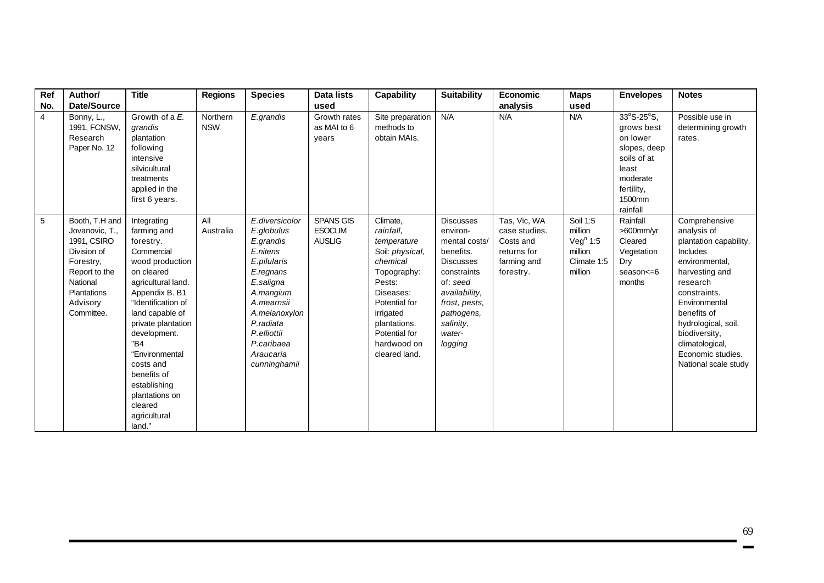| Ref            | Author/                                                                                                                                           | <b>Title</b>                                                                                                                                                                                                                                                                                                                              | <b>Regions</b>         | <b>Species</b>                                                                                                                                                                                                    | <b>Data lists</b>                            | <b>Capability</b>                                                                                                                                                                                        | <b>Suitability</b>                                                                                                                                                                          | Economic                                                                              | <b>Maps</b>                                                                      | <b>Envelopes</b>                                                                                                             | <b>Notes</b>                                                                                                                                                                                                                                                               |
|----------------|---------------------------------------------------------------------------------------------------------------------------------------------------|-------------------------------------------------------------------------------------------------------------------------------------------------------------------------------------------------------------------------------------------------------------------------------------------------------------------------------------------|------------------------|-------------------------------------------------------------------------------------------------------------------------------------------------------------------------------------------------------------------|----------------------------------------------|----------------------------------------------------------------------------------------------------------------------------------------------------------------------------------------------------------|---------------------------------------------------------------------------------------------------------------------------------------------------------------------------------------------|---------------------------------------------------------------------------------------|----------------------------------------------------------------------------------|------------------------------------------------------------------------------------------------------------------------------|----------------------------------------------------------------------------------------------------------------------------------------------------------------------------------------------------------------------------------------------------------------------------|
| No.            | <b>Date/Source</b>                                                                                                                                |                                                                                                                                                                                                                                                                                                                                           |                        |                                                                                                                                                                                                                   | used                                         |                                                                                                                                                                                                          |                                                                                                                                                                                             | analysis                                                                              | used                                                                             |                                                                                                                              |                                                                                                                                                                                                                                                                            |
| $\overline{4}$ | Bonny, L.,<br>1991, FCNSW,<br>Research<br>Paper No. 12                                                                                            | Growth of a E.<br>grandis<br>plantation<br>following<br>intensive<br>silvicultural<br>treatments<br>applied in the<br>first 6 years.                                                                                                                                                                                                      | Northern<br><b>NSW</b> | E.grandis                                                                                                                                                                                                         | Growth rates<br>as MAI to 6<br>years         | Site preparation<br>methods to<br>obtain MAIs.                                                                                                                                                           | N/A                                                                                                                                                                                         | N/A                                                                                   | N/A                                                                              | 33°S-25°S,<br>grows best<br>on lower<br>slopes, deep<br>soils of at<br>least<br>moderate<br>fertility,<br>1500mm<br>rainfall | Possible use in<br>determining growth<br>rates.                                                                                                                                                                                                                            |
| 5              | Booth, T.H and<br>Jovanovic, T.,<br>1991, CSIRO<br>Division of<br>Forestry,<br>Report to the<br>National<br>Plantations<br>Advisory<br>Committee. | Integrating<br>farming and<br>forestry.<br>Commercial<br>wood production<br>on cleared<br>agricultural land.<br>Appendix B. B1<br>"Identification of<br>land capable of<br>private plantation<br>development.<br>"B4<br>"Environmental<br>costs and<br>benefits of<br>establishing<br>plantations on<br>cleared<br>agricultural<br>land." | All<br>Australia       | E.diversicolor<br>E.globulus<br>E.grandis<br>E.nitens<br>E.pilularis<br>E.regnans<br>E.saligna<br>A.mangium<br>A.mearnsii<br>A.melanoxylon<br>P.radiata<br>P.elliottii<br>P.caribaea<br>Araucaria<br>cunninghamii | SPANS GIS<br><b>ESOCLIM</b><br><b>AUSLIG</b> | Climate,<br>rainfall.<br>temperature<br>Soil: physical,<br>chemical<br>Topography:<br>Pests:<br>Diseases:<br>Potential for<br>irrigated<br>plantations.<br>Potential for<br>hardwood on<br>cleared land. | <b>Discusses</b><br>environ-<br>mental costs/<br>benefits.<br><b>Discusses</b><br>constraints<br>of: seed<br>availability,<br>frost, pests,<br>pathogens,<br>salinity,<br>water-<br>logging | Tas, Vic, WA<br>case studies.<br>Costs and<br>returns for<br>farming and<br>forestry. | Soil 1:5<br>million<br>Veg <sup>n</sup> 1:5<br>million<br>Climate 1:5<br>million | Rainfall<br>>600mm/yr<br>Cleared<br>Vegetation<br>Dry<br>season<=6<br>months                                                 | Comprehensive<br>analysis of<br>plantation capability.<br>Includes<br>environmental,<br>harvesting and<br>research<br>constraints.<br>Environmental<br>benefits of<br>hydrological, soil,<br>biodiversity,<br>climatological,<br>Economic studies.<br>National scale study |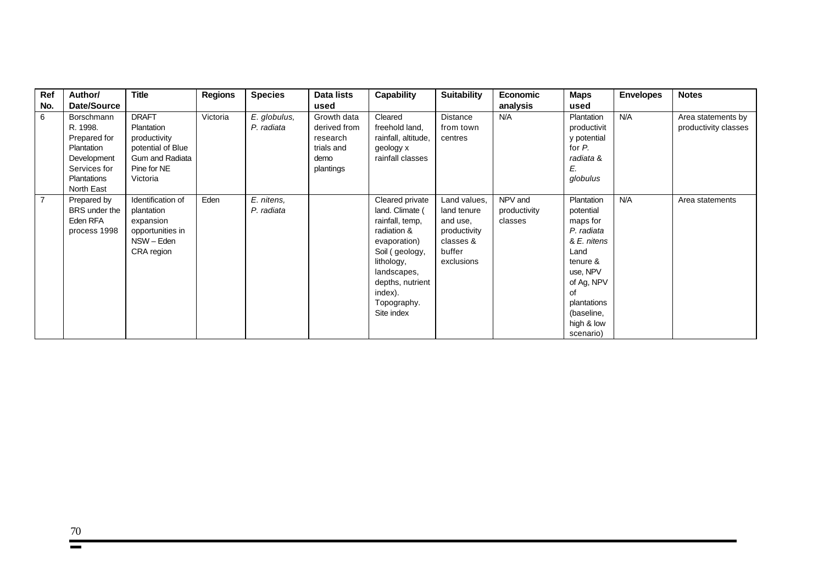| Ref            | Author/       | <b>Title</b>      | <b>Regions</b> | <b>Species</b> | Data lists   | Capability          | <b>Suitability</b> | <b>Economic</b> | <b>Maps</b> | <b>Envelopes</b> | <b>Notes</b>         |
|----------------|---------------|-------------------|----------------|----------------|--------------|---------------------|--------------------|-----------------|-------------|------------------|----------------------|
| No.            | Date/Source   |                   |                |                | used         |                     |                    | analysis        | used        |                  |                      |
| 6              | Borschmann    | <b>DRAFT</b>      | Victoria       | E. globulus,   | Growth data  | Cleared             | <b>Distance</b>    | N/A             | Plantation  | N/A              | Area statements by   |
|                | R. 1998.      | Plantation        |                | P. radiata     | derived from | freehold land,      | from town          |                 | productivit |                  | productivity classes |
|                | Prepared for  | productivity      |                |                | research     | rainfall, altitude, | centres            |                 | y potential |                  |                      |
|                | Plantation    | potential of Blue |                |                | trials and   | geology x           |                    |                 | for P.      |                  |                      |
|                | Development   | Gum and Radiata   |                |                | demo         | rainfall classes    |                    |                 | radiata &   |                  |                      |
|                | Services for  | Pine for NE       |                |                | plantings    |                     |                    |                 | E.          |                  |                      |
|                | Plantations   | Victoria          |                |                |              |                     |                    |                 | globulus    |                  |                      |
|                | North East    |                   |                |                |              |                     |                    |                 |             |                  |                      |
| $\overline{7}$ | Prepared by   | Identification of | Eden           | E. nitens,     |              | Cleared private     | Land values,       | NPV and         | Plantation  | N/A              | Area statements      |
|                | BRS under the | plantation        |                | P. radiata     |              | land. Climate (     | land tenure        | productivity    | potential   |                  |                      |
|                | Eden RFA      | expansion         |                |                |              | rainfall, temp,     | and use,           | classes         | maps for    |                  |                      |
|                | process 1998  | opportunities in  |                |                |              | radiation &         | productivity       |                 | P. radiata  |                  |                      |
|                |               | NSW - Eden        |                |                |              | evaporation)        | classes &          |                 | & E. nitens |                  |                      |
|                |               | CRA region        |                |                |              | Soil (geology,      | buffer             |                 | Land        |                  |                      |
|                |               |                   |                |                |              | lithology,          | exclusions         |                 | tenure &    |                  |                      |
|                |               |                   |                |                |              | landscapes,         |                    |                 | use, NPV    |                  |                      |
|                |               |                   |                |                |              | depths, nutrient    |                    |                 | of Ag, NPV  |                  |                      |
|                |               |                   |                |                |              | index).             |                    |                 | of          |                  |                      |
|                |               |                   |                |                |              | Topography.         |                    |                 | plantations |                  |                      |
|                |               |                   |                |                |              | Site index          |                    |                 | (baseline,  |                  |                      |
|                |               |                   |                |                |              |                     |                    |                 | high & low  |                  |                      |
|                |               |                   |                |                |              |                     |                    |                 | scenario)   |                  |                      |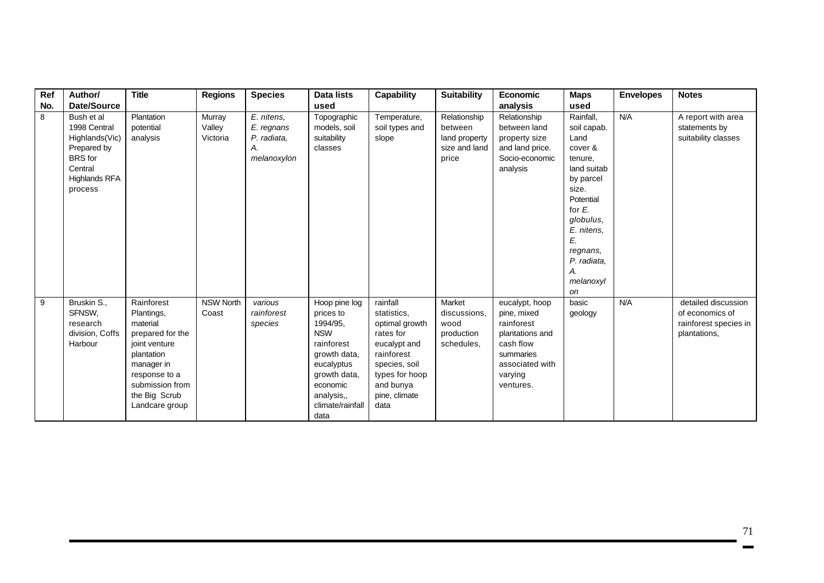| Ref | Author/                                                                                                                     | <b>Title</b>                                                                                                                                                                 | <b>Regions</b>               | <b>Species</b>                                               | <b>Data lists</b>                                                                                                                                                      | <b>Capability</b>                                                                                                                                             | <b>Suitability</b>                                                 | Economic                                                                                                                            | <b>Maps</b>                                                                                                                                                                                             | <b>Envelopes</b> | <b>Notes</b>                                                                    |
|-----|-----------------------------------------------------------------------------------------------------------------------------|------------------------------------------------------------------------------------------------------------------------------------------------------------------------------|------------------------------|--------------------------------------------------------------|------------------------------------------------------------------------------------------------------------------------------------------------------------------------|---------------------------------------------------------------------------------------------------------------------------------------------------------------|--------------------------------------------------------------------|-------------------------------------------------------------------------------------------------------------------------------------|---------------------------------------------------------------------------------------------------------------------------------------------------------------------------------------------------------|------------------|---------------------------------------------------------------------------------|
| No. | Date/Source                                                                                                                 |                                                                                                                                                                              |                              |                                                              | used                                                                                                                                                                   |                                                                                                                                                               |                                                                    | analysis                                                                                                                            | used                                                                                                                                                                                                    |                  |                                                                                 |
| 8   | Bush et al<br>1998 Central<br>Highlands(Vic)<br>Prepared by<br><b>BRS</b> for<br>Central<br><b>Highlands RFA</b><br>process | Plantation<br>potential<br>analysis                                                                                                                                          | Murray<br>Valley<br>Victoria | E. nitens,<br>E. regnans<br>P. radiata,<br>А.<br>melanoxylon | Topographic<br>models, soil<br>suitability<br>classes                                                                                                                  | Temperature,<br>soil types and<br>slope                                                                                                                       | Relationship<br>between<br>land property<br>size and land<br>price | Relationship<br>between land<br>property size<br>and land price.<br>Socio-economic<br>analysis                                      | Rainfall,<br>soil capab.<br>Land<br>cover &<br>tenure.<br>land suitab<br>by parcel<br>size.<br>Potential<br>for E.<br>globulus,<br>E. nitens,<br>E.<br>regnans,<br>P. radiata,<br>А.<br>melanoxyl<br>on | N/A              | A report with area<br>statements by<br>suitability classes                      |
| 9   | Bruskin S.,<br>SFNSW,<br>research<br>division, Coffs<br>Harbour                                                             | Rainforest<br>Plantings,<br>material<br>prepared for the<br>joint venture<br>plantation<br>manager in<br>response to a<br>submission from<br>the Big Scrub<br>Landcare group | <b>NSW North</b><br>Coast    | various<br>rainforest<br>species                             | Hoop pine log<br>prices to<br>1994/95,<br><b>NSW</b><br>rainforest<br>growth data,<br>eucalyptus<br>growth data,<br>economic<br>analysis,,<br>climate/rainfall<br>data | rainfall<br>statistics.<br>optimal growth<br>rates for<br>eucalypt and<br>rainforest<br>species, soil<br>types for hoop<br>and bunya<br>pine, climate<br>data | Market<br>discussions.<br>wood<br>production<br>schedules.         | eucalypt, hoop<br>pine, mixed<br>rainforest<br>plantations and<br>cash flow<br>summaries<br>associated with<br>varying<br>ventures. | basic<br>geology                                                                                                                                                                                        | N/A              | detailed discussion<br>of economics of<br>rainforest species in<br>plantations, |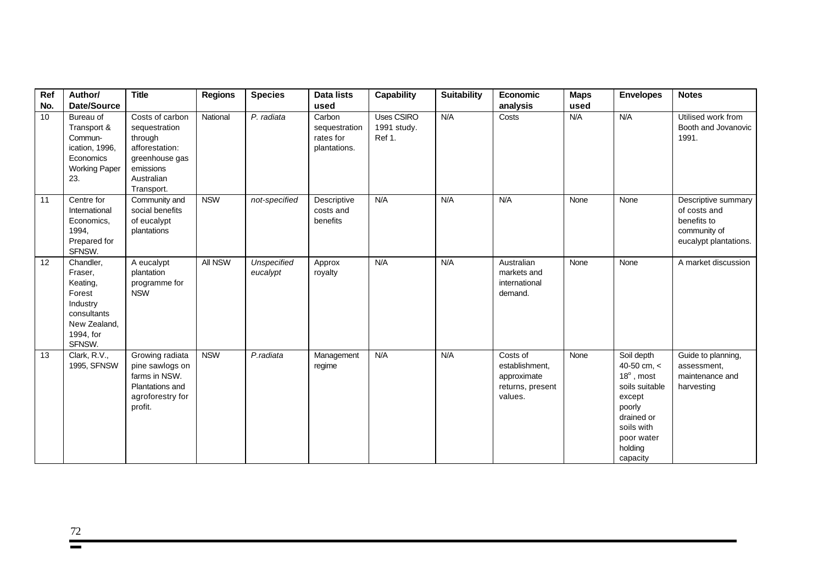| Ref<br>No. | Author/<br>Date/Source                                                                                       | <b>Title</b>                                                                                                             | <b>Regions</b> | <b>Species</b>                 | Data lists<br>used                                   | Capability                                 | <b>Suitability</b> | Economic<br>analysis                                                     | <b>Maps</b><br>used | <b>Envelopes</b>                                                                                                                                      | <b>Notes</b>                                                                                |
|------------|--------------------------------------------------------------------------------------------------------------|--------------------------------------------------------------------------------------------------------------------------|----------------|--------------------------------|------------------------------------------------------|--------------------------------------------|--------------------|--------------------------------------------------------------------------|---------------------|-------------------------------------------------------------------------------------------------------------------------------------------------------|---------------------------------------------------------------------------------------------|
| 10         | Bureau of<br>Transport &<br>Commun-<br>ication, 1996,<br>Economics<br><b>Working Paper</b><br>23.            | Costs of carbon<br>sequestration<br>through<br>afforestation:<br>greenhouse gas<br>emissions<br>Australian<br>Transport. | National       | P. radiata                     | Carbon<br>sequestration<br>rates for<br>plantations. | <b>Uses CSIRO</b><br>1991 study.<br>Ref 1. | N/A                | Costs                                                                    | N/A                 | N/A                                                                                                                                                   | Utilised work from<br>Booth and Jovanovic<br>1991.                                          |
| 11         | Centre for<br>International<br>Economics,<br>1994,<br>Prepared for<br>SFNSW.                                 | Community and<br>social benefits<br>of eucalypt<br>plantations                                                           | <b>NSW</b>     | not-specified                  | Descriptive<br>costs and<br>benefits                 | N/A                                        | N/A                | N/A                                                                      | None                | None                                                                                                                                                  | Descriptive summary<br>of costs and<br>benefits to<br>community of<br>eucalypt plantations. |
| 12         | Chandler,<br>Fraser,<br>Keating,<br>Forest<br>Industry<br>consultants<br>New Zealand,<br>1994, for<br>SFNSW. | A eucalypt<br>plantation<br>programme for<br><b>NSW</b>                                                                  | All NSW        | <b>Unspecified</b><br>eucalypt | Approx<br>royalty                                    | N/A                                        | N/A                | Australian<br>markets and<br>international<br>demand.                    | None                | None                                                                                                                                                  | A market discussion                                                                         |
| 13         | Clark, R.V.,<br>1995, SFNSW                                                                                  | Growing radiata<br>pine sawlogs on<br>farms in NSW.<br>Plantations and<br>agroforestry for<br>profit.                    | <b>NSW</b>     | P.radiata                      | Management<br>regime                                 | N/A                                        | N/A                | Costs of<br>establishment,<br>approximate<br>returns, present<br>values. | None                | Soil depth<br>40-50 cm, <<br>$18^\circ$ , most<br>soils suitable<br>except<br>poorly<br>drained or<br>soils with<br>poor water<br>holding<br>capacity | Guide to planning,<br>assessment,<br>maintenance and<br>harvesting                          |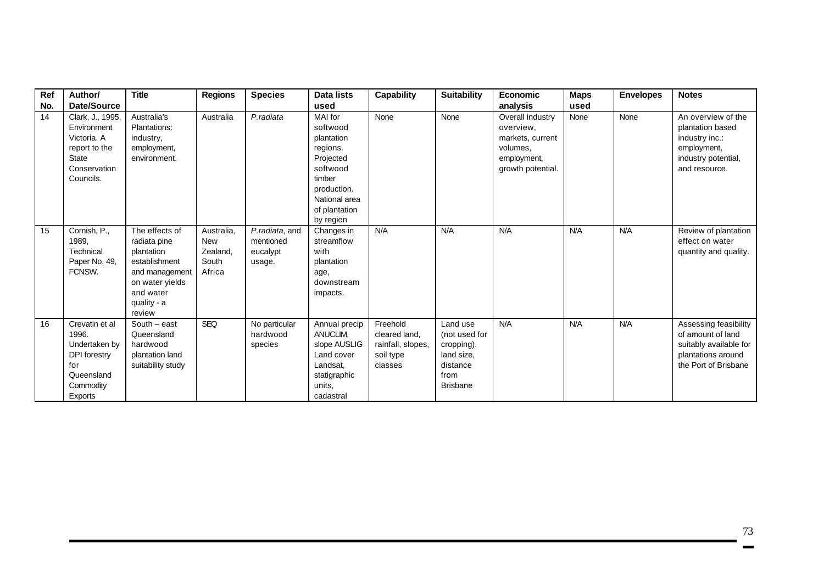| Ref | Author/                                                                                               | <b>Title</b>                                                                                                                             | <b>Regions</b>                                          | <b>Species</b>                                    | Data lists                                                                                                                                     | <b>Capability</b>                                                      | <b>Suitability</b>                                                                           | <b>Economic</b>                                                                                   | <b>Maps</b> | <b>Envelopes</b> | <b>Notes</b>                                                                                                       |
|-----|-------------------------------------------------------------------------------------------------------|------------------------------------------------------------------------------------------------------------------------------------------|---------------------------------------------------------|---------------------------------------------------|------------------------------------------------------------------------------------------------------------------------------------------------|------------------------------------------------------------------------|----------------------------------------------------------------------------------------------|---------------------------------------------------------------------------------------------------|-------------|------------------|--------------------------------------------------------------------------------------------------------------------|
| No. | <b>Date/Source</b>                                                                                    |                                                                                                                                          |                                                         |                                                   | used                                                                                                                                           |                                                                        |                                                                                              | analysis                                                                                          | used        |                  |                                                                                                                    |
| 14  | Clark, J., 1995,<br>Environment<br>Victoria. A<br>report to the<br>State<br>Conservation<br>Councils. | Australia's<br>Plantations:<br>industry,<br>employment,<br>environment.                                                                  | Australia                                               | P.radiata                                         | MAI for<br>softwood<br>plantation<br>regions.<br>Projected<br>softwood<br>timber<br>production.<br>National area<br>of plantation<br>by region | None                                                                   | None                                                                                         | Overall industry<br>overview,<br>markets, current<br>volumes,<br>employment,<br>growth potential. | None        | None             | An overview of the<br>plantation based<br>industry inc.:<br>employment,<br>industry potential,<br>and resource.    |
| 15  | Cornish, P.,<br>1989.<br>Technical<br>Paper No. 49,<br>FCNSW.                                         | The effects of<br>radiata pine<br>plantation<br>establishment<br>and management<br>on water yields<br>and water<br>quality - a<br>review | Australia,<br><b>New</b><br>Zealand,<br>South<br>Africa | P.radiata, and<br>mentioned<br>eucalypt<br>usage. | Changes in<br>streamflow<br>with<br>plantation<br>age,<br>downstream<br>impacts.                                                               | N/A                                                                    | N/A                                                                                          | N/A                                                                                               | N/A         | N/A              | Review of plantation<br>effect on water<br>quantity and quality.                                                   |
| 16  | Crevatin et al<br>1996.<br>Undertaken by<br>DPI forestry<br>for<br>Queensland<br>Commodity<br>Exports | $South - east$<br>Queensland<br>hardwood<br>plantation land<br>suitability study                                                         | <b>SEQ</b>                                              | No particular<br>hardwood<br>species              | Annual precip<br>ANUCLIM,<br>slope AUSLIG<br>Land cover<br>Landsat,<br>statigraphic<br>units.<br>cadastral                                     | Freehold<br>cleared land,<br>rainfall, slopes,<br>soil type<br>classes | Land use<br>(not used for<br>cropping),<br>land size,<br>distance<br>from<br><b>Brisbane</b> | N/A                                                                                               | N/A         | N/A              | Assessing feasibility<br>of amount of land<br>suitably available for<br>plantations around<br>the Port of Brisbane |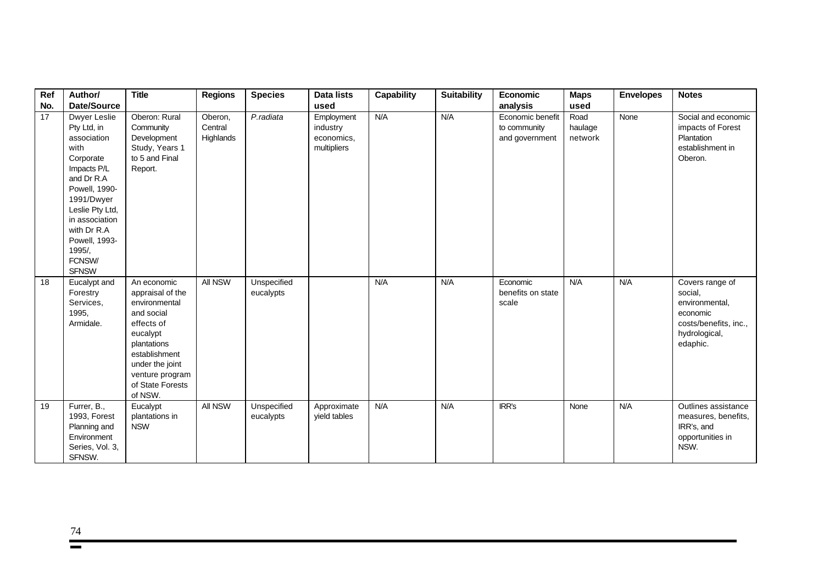| Ref | Author/                                                                                                                                                                                                                              | <b>Title</b>                                                                                                                                                                                  | <b>Regions</b>                  | <b>Species</b>           | <b>Data lists</b>                                   | <b>Capability</b> | <b>Suitability</b> | Economic                                           | <b>Maps</b>                | <b>Envelopes</b> | <b>Notes</b>                                                                                                   |
|-----|--------------------------------------------------------------------------------------------------------------------------------------------------------------------------------------------------------------------------------------|-----------------------------------------------------------------------------------------------------------------------------------------------------------------------------------------------|---------------------------------|--------------------------|-----------------------------------------------------|-------------------|--------------------|----------------------------------------------------|----------------------------|------------------|----------------------------------------------------------------------------------------------------------------|
| No. | Date/Source                                                                                                                                                                                                                          |                                                                                                                                                                                               |                                 |                          | used                                                |                   |                    | analysis                                           | used                       |                  |                                                                                                                |
| 17  | Dwyer Leslie<br>Pty Ltd, in<br>association<br>with<br>Corporate<br>Impacts P/L<br>and Dr R.A<br>Powell, 1990-<br>1991/Dwyer<br>Leslie Pty Ltd,<br>in association<br>with Dr R.A<br>Powell, 1993-<br>1995/,<br>FCNSW/<br><b>SFNSW</b> | Oberon: Rural<br>Community<br>Development<br>Study, Years 1<br>to 5 and Final<br>Report.                                                                                                      | Oberon,<br>Central<br>Highlands | P.radiata                | Employment<br>industry<br>economics,<br>multipliers | N/A               | N/A                | Economic benefit<br>to community<br>and government | Road<br>haulage<br>network | None             | Social and economic<br>impacts of Forest<br>Plantation<br>establishment in<br>Oberon.                          |
| 18  | Eucalypt and<br>Forestry<br>Services,<br>1995,<br>Armidale.                                                                                                                                                                          | An economic<br>appraisal of the<br>environmental<br>and social<br>effects of<br>eucalypt<br>plantations<br>establishment<br>under the joint<br>venture program<br>of State Forests<br>of NSW. | All NSW                         | Unspecified<br>eucalypts |                                                     | N/A               | N/A                | Economic<br>benefits on state<br>scale             | N/A                        | N/A              | Covers range of<br>social,<br>environmental,<br>economic<br>costs/benefits, inc.,<br>hydrological,<br>edaphic. |
| 19  | Furrer, B.,<br>1993, Forest<br>Planning and<br>Environment<br>Series, Vol. 3,<br>SFNSW.                                                                                                                                              | Eucalypt<br>plantations in<br><b>NSW</b>                                                                                                                                                      | All NSW                         | Unspecified<br>eucalypts | Approximate<br>yield tables                         | N/A               | N/A                | IRR's                                              | None                       | N/A              | Outlines assistance<br>measures, benefits,<br>IRR's, and<br>opportunities in<br>NSW.                           |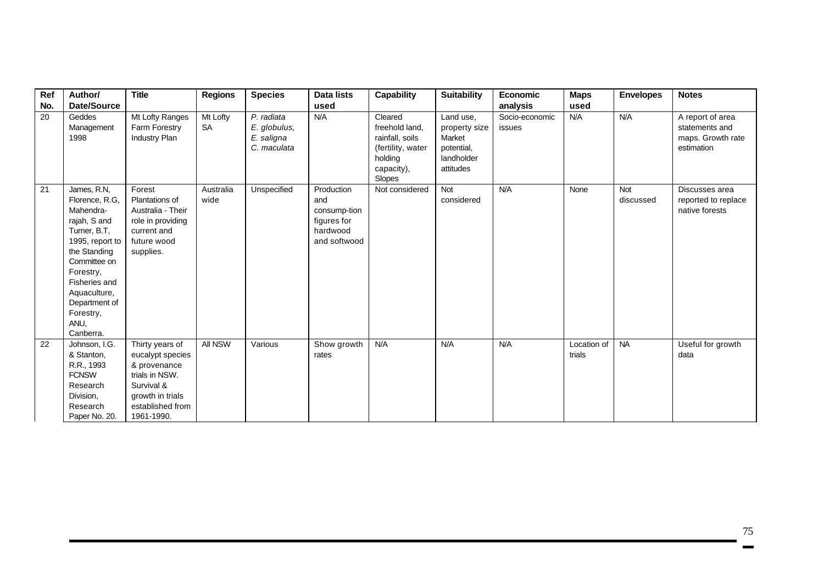| Ref | Author/                                                                                                                                                                                                                        | <b>Title</b>                                                                                                                              | Regions               | <b>Species</b>                                          | <b>Data lists</b>                                                            | <b>Capability</b>                                                                                    | <b>Suitability</b>                                                            | <b>Economic</b>          | <b>Maps</b>           | <b>Envelopes</b> | <b>Notes</b>                                                          |
|-----|--------------------------------------------------------------------------------------------------------------------------------------------------------------------------------------------------------------------------------|-------------------------------------------------------------------------------------------------------------------------------------------|-----------------------|---------------------------------------------------------|------------------------------------------------------------------------------|------------------------------------------------------------------------------------------------------|-------------------------------------------------------------------------------|--------------------------|-----------------------|------------------|-----------------------------------------------------------------------|
| No. | Date/Source                                                                                                                                                                                                                    |                                                                                                                                           |                       |                                                         | used                                                                         |                                                                                                      |                                                                               | analysis                 | used                  |                  |                                                                       |
| 20  | Geddes<br>Management<br>1998                                                                                                                                                                                                   | Mt Lofty Ranges<br>Farm Forestry<br>Industry Plan                                                                                         | Mt Lofty<br><b>SA</b> | P. radiata<br>E. globulus,<br>E. saligna<br>C. maculata | N/A                                                                          | Cleared<br>freehold land.<br>rainfall, soils<br>(fertility, water<br>holding<br>capacity),<br>Slopes | Land use,<br>property size<br>Market<br>potential,<br>landholder<br>attitudes | Socio-economic<br>issues | N/A                   | N/A              | A report of area<br>statements and<br>maps. Growth rate<br>estimation |
| 21  | James, R.N,<br>Florence, R.G,<br>Mahendra-<br>rajah, S and<br>Turner, B.T,<br>1995, report to<br>the Standing<br>Committee on<br>Forestry,<br>Fisheries and<br>Aquaculture,<br>Department of<br>Forestry,<br>ANU,<br>Canberra. | Forest<br>Plantations of<br>Australia - Their<br>role in providing<br>current and<br>future wood<br>supplies.                             | Australia<br>wide     | Unspecified                                             | Production<br>and<br>consump-tion<br>figures for<br>hardwood<br>and softwood | Not considered                                                                                       | <b>Not</b><br>considered                                                      | N/A                      | None                  | Not<br>discussed | Discusses area<br>reported to replace<br>native forests               |
| 22  | Johnson, I.G.<br>& Stanton,<br>R.R., 1993<br><b>FCNSW</b><br>Research<br>Division,<br>Research<br>Paper No. 20.                                                                                                                | Thirty years of<br>eucalypt species<br>& provenance<br>trials in NSW.<br>Survival &<br>growth in trials<br>established from<br>1961-1990. | All NSW               | Various                                                 | Show growth<br>rates                                                         | N/A                                                                                                  | N/A                                                                           | N/A                      | Location of<br>trials | <b>NA</b>        | Useful for growth<br>data                                             |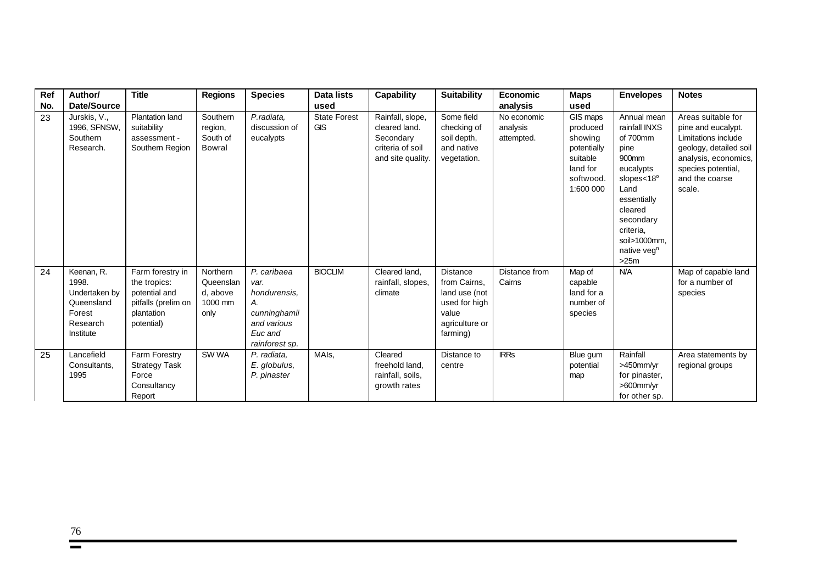| Ref | Author/                                                                               | <b>Title</b>                                                                                         | <b>Regions</b>                                       | <b>Species</b>                                                                                        | <b>Data lists</b>                 | <b>Capability</b>                                                                       | <b>Suitability</b>                                                                                | <b>Economic</b>                       | <b>Maps</b>                                                                                      | <b>Envelopes</b>                                                                                                                                                                                                  | <b>Notes</b>                                                                                                                                                        |
|-----|---------------------------------------------------------------------------------------|------------------------------------------------------------------------------------------------------|------------------------------------------------------|-------------------------------------------------------------------------------------------------------|-----------------------------------|-----------------------------------------------------------------------------------------|---------------------------------------------------------------------------------------------------|---------------------------------------|--------------------------------------------------------------------------------------------------|-------------------------------------------------------------------------------------------------------------------------------------------------------------------------------------------------------------------|---------------------------------------------------------------------------------------------------------------------------------------------------------------------|
| No. | Date/Source                                                                           |                                                                                                      |                                                      |                                                                                                       | used                              |                                                                                         |                                                                                                   | analysis                              | used                                                                                             |                                                                                                                                                                                                                   |                                                                                                                                                                     |
| 23  | Jurskis, V.,<br>1996, SFNSW,<br>Southern<br>Research.                                 | <b>Plantation land</b><br>suitability<br>assessment -<br>Southern Region                             | Southern<br>region,<br>South of<br>Bowral            | P.radiata,<br>discussion of<br>eucalypts                                                              | <b>State Forest</b><br><b>GIS</b> | Rainfall, slope,<br>cleared land.<br>Secondary<br>criteria of soil<br>and site quality. | Some field<br>checking of<br>soil depth,<br>and native<br>vegetation.                             | No economic<br>analysis<br>attempted. | GIS maps<br>produced<br>showing<br>potentially<br>suitable<br>land for<br>softwood.<br>1:600 000 | Annual mean<br>rainfall INXS<br>of 700mm<br>pine<br>900mm<br>eucalypts<br>slopes $<$ 18 $^{\circ}$<br>Land<br>essentially<br>cleared<br>secondary<br>criteria.<br>soil>1000mm.<br>native veg <sup>n</sup><br>>25m | Areas suitable for<br>pine and eucalypt.<br>Limitations include<br>geology, detailed soil<br>analysis, economics,<br>species potential,<br>and the coarse<br>scale. |
| 24  | Keenan, R.<br>1998.<br>Undertaken by<br>Queensland<br>Forest<br>Research<br>Institute | Farm forestry in<br>the tropics:<br>potential and<br>pitfalls (prelim on<br>plantation<br>potential) | Northern<br>Queenslan<br>d, above<br>1000 mm<br>only | P. caribaea<br>var.<br>hondurensis.<br>А.<br>cunninghamii<br>and various<br>Euc and<br>rainforest sp. | <b>BIOCLIM</b>                    | Cleared land,<br>rainfall, slopes,<br>climate                                           | Distance<br>from Cairns,<br>land use (not<br>used for high<br>value<br>agriculture or<br>farming) | Distance from<br>Cairns               | Map of<br>capable<br>land for a<br>number of<br>species                                          | N/A                                                                                                                                                                                                               | Map of capable land<br>for a number of<br>species                                                                                                                   |
| 25  | Lancefield<br>Consultants,<br>1995                                                    | Farm Forestry<br><b>Strategy Task</b><br>Force<br>Consultancy<br>Report                              | SW WA                                                | P. radiata,<br>E. globulus,<br>P. pinaster                                                            | MAIs,                             | Cleared<br>freehold land,<br>rainfall, soils,<br>growth rates                           | Distance to<br>centre                                                                             | <b>IRRs</b>                           | Blue gum<br>potential<br>map                                                                     | Rainfall<br>>450mm/yr<br>for pinaster,<br>>600mm/yr<br>for other sp.                                                                                                                                              | Area statements by<br>regional groups                                                                                                                               |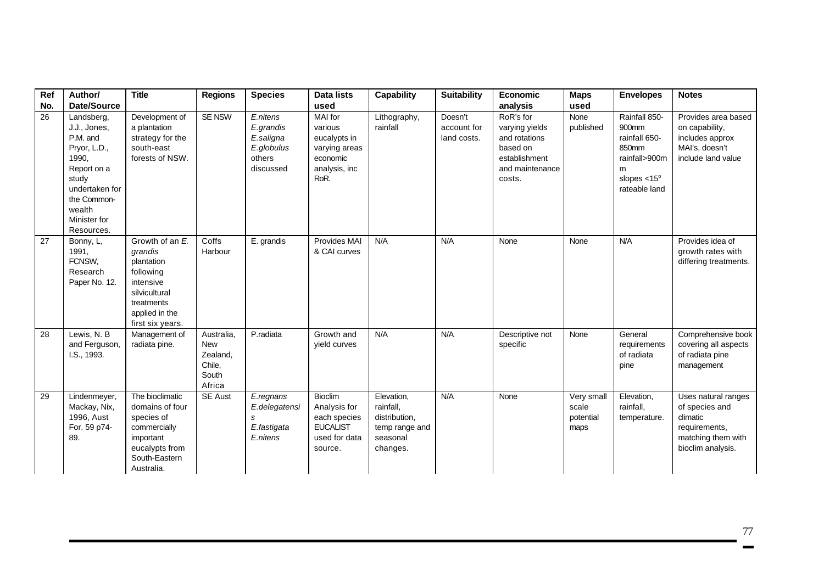| Ref | Author/                                                                                                                                                          | <b>Title</b>                                                                                                                            | <b>Regions</b>                                                    | <b>Species</b>                                                          | Data lists                                                                                    | <b>Capability</b>                                                                  | <b>Suitability</b>                    | <b>Economic</b>                                                                                        | <b>Maps</b>                              | <b>Envelopes</b>                                                                                               | <b>Notes</b>                                                                                                  |
|-----|------------------------------------------------------------------------------------------------------------------------------------------------------------------|-----------------------------------------------------------------------------------------------------------------------------------------|-------------------------------------------------------------------|-------------------------------------------------------------------------|-----------------------------------------------------------------------------------------------|------------------------------------------------------------------------------------|---------------------------------------|--------------------------------------------------------------------------------------------------------|------------------------------------------|----------------------------------------------------------------------------------------------------------------|---------------------------------------------------------------------------------------------------------------|
| No. | <b>Date/Source</b>                                                                                                                                               |                                                                                                                                         |                                                                   |                                                                         | used                                                                                          |                                                                                    |                                       | analysis                                                                                               | used                                     |                                                                                                                |                                                                                                               |
| 26  | Landsberg,<br>J.J., Jones,<br>P.M. and<br>Pryor, L.D.,<br>1990,<br>Report on a<br>study<br>undertaken for<br>the Common-<br>wealth<br>Minister for<br>Resources. | Development of<br>a plantation<br>strategy for the<br>south-east<br>forests of NSW.                                                     | SE NSW                                                            | E.nitens<br>E.grandis<br>E.saligna<br>E.globulus<br>others<br>discussed | MAI for<br>various<br>eucalypts in<br>varying areas<br>economic<br>analysis, inc<br>RoR.      | Lithography,<br>rainfall                                                           | Doesn't<br>account for<br>land costs. | RoR's for<br>varying yields<br>and rotations<br>based on<br>establishment<br>and maintenance<br>costs. | None<br>published                        | Rainfall 850-<br>900mm<br>rainfall 650-<br>850mm<br>rainfall>900m<br>m<br>slopes $< 15^\circ$<br>rateable land | Provides area based<br>on capability,<br>includes approx<br>MAI's, doesn't<br>include land value              |
| 27  | Bonny, L,<br>1991,<br>FCNSW,<br>Research<br>Paper No. 12.                                                                                                        | Growth of an E.<br>grandis<br>plantation<br>following<br>intensive<br>silvicultural<br>treatments<br>applied in the<br>first six years. | Coffs<br>Harbour                                                  | E. grandis                                                              | Provides MAI<br>& CAI curves                                                                  | N/A                                                                                | N/A                                   | None                                                                                                   | None                                     | N/A                                                                                                            | Provides idea of<br>growth rates with<br>differing treatments.                                                |
| 28  | Lewis, N. B<br>and Ferguson,<br>I.S., 1993.                                                                                                                      | Management of<br>radiata pine.                                                                                                          | Australia,<br><b>New</b><br>Zealand,<br>Chile,<br>South<br>Africa | P.radiata                                                               | Growth and<br>yield curves                                                                    | N/A                                                                                | N/A                                   | Descriptive not<br>specific                                                                            | None                                     | General<br>requirements<br>of radiata<br>pine                                                                  | Comprehensive book<br>covering all aspects<br>of radiata pine<br>management                                   |
| 29  | Lindenmeyer,<br>Mackay, Nix,<br>1996, Aust<br>For. 59 p74-<br>89.                                                                                                | The bioclimatic<br>domains of four<br>species of<br>commercially<br>important<br>eucalypts from<br>South-Eastern<br>Australia.          | SE Aust                                                           | E.regnans<br>E.delegatensi<br>S<br>E.fastigata<br>E.nitens              | <b>Bioclim</b><br>Analysis for<br>each species<br><b>EUCALIST</b><br>used for data<br>source. | Elevation,<br>rainfall,<br>distribution,<br>temp range and<br>seasonal<br>changes. | N/A                                   | None                                                                                                   | Very small<br>scale<br>potential<br>maps | Elevation,<br>rainfall,<br>temperature.                                                                        | Uses natural ranges<br>of species and<br>climatic<br>requirements,<br>matching them with<br>bioclim analysis. |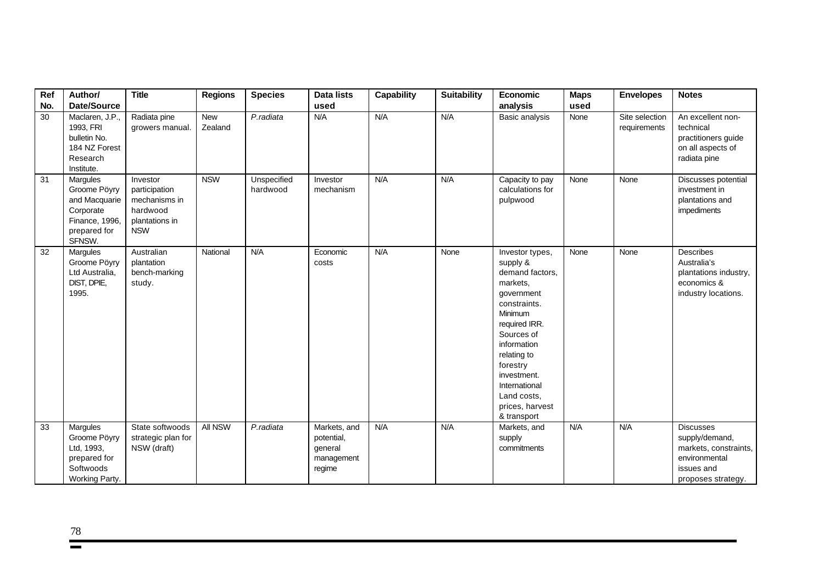| Ref<br>No. | Author/<br>Date/Source                                                                             | <b>Title</b>                                                                           | <b>Regions</b>        | <b>Species</b>          | Data lists<br>used                                            | Capability | <b>Suitability</b> | Economic<br>analysis                                                                                                                                                                                                                                          | <b>Maps</b><br>used | <b>Envelopes</b>               | <b>Notes</b>                                                                                                     |
|------------|----------------------------------------------------------------------------------------------------|----------------------------------------------------------------------------------------|-----------------------|-------------------------|---------------------------------------------------------------|------------|--------------------|---------------------------------------------------------------------------------------------------------------------------------------------------------------------------------------------------------------------------------------------------------------|---------------------|--------------------------------|------------------------------------------------------------------------------------------------------------------|
| 30         | Maclaren, J.P.,<br>1993, FRI<br>bulletin No.<br>184 NZ Forest<br>Research<br>Institute.            | Radiata pine<br>growers manual.                                                        | <b>New</b><br>Zealand | P.radiata               | N/A                                                           | N/A        | N/A                | Basic analysis                                                                                                                                                                                                                                                | None                | Site selection<br>requirements | An excellent non-<br>technical<br>practitioners guide<br>on all aspects of<br>radiata pine                       |
| 31         | Margules<br>Groome Pöyry<br>and Macquarie<br>Corporate<br>Finance, 1996,<br>prepared for<br>SFNSW. | Investor<br>participation<br>mechanisms in<br>hardwood<br>plantations in<br><b>NSW</b> | <b>NSW</b>            | Unspecified<br>hardwood | Investor<br>mechanism                                         | N/A        | N/A                | Capacity to pay<br>calculations for<br>pulpwood                                                                                                                                                                                                               | None                | None                           | Discusses potential<br>investment in<br>plantations and<br>impediments                                           |
| 32         | Margules<br>Groome Pöyry<br>Ltd Australia,<br>DIST, DPIE,<br>1995.                                 | Australian<br>plantation<br>bench-marking<br>study.                                    | National              | N/A                     | Economic<br>costs                                             | N/A        | None               | Investor types,<br>supply &<br>demand factors,<br>markets,<br>government<br>constraints.<br>Minimum<br>required IRR.<br>Sources of<br>information<br>relating to<br>forestry<br>investment.<br>International<br>Land costs,<br>prices, harvest<br>& transport | None                | None                           | <b>Describes</b><br>Australia's<br>plantations industry,<br>economics &<br>industry locations.                   |
| 33         | Margules<br>Groome Pöyry<br>Ltd, 1993,<br>prepared for<br>Softwoods<br>Working Party.              | State softwoods<br>strategic plan for<br>NSW (draft)                                   | All NSW               | P.radiata               | Markets, and<br>potential,<br>general<br>management<br>regime | N/A        | N/A                | Markets, and<br>supply<br>commitments                                                                                                                                                                                                                         | N/A                 | N/A                            | <b>Discusses</b><br>supply/demand,<br>markets, constraints,<br>environmental<br>issues and<br>proposes strategy. |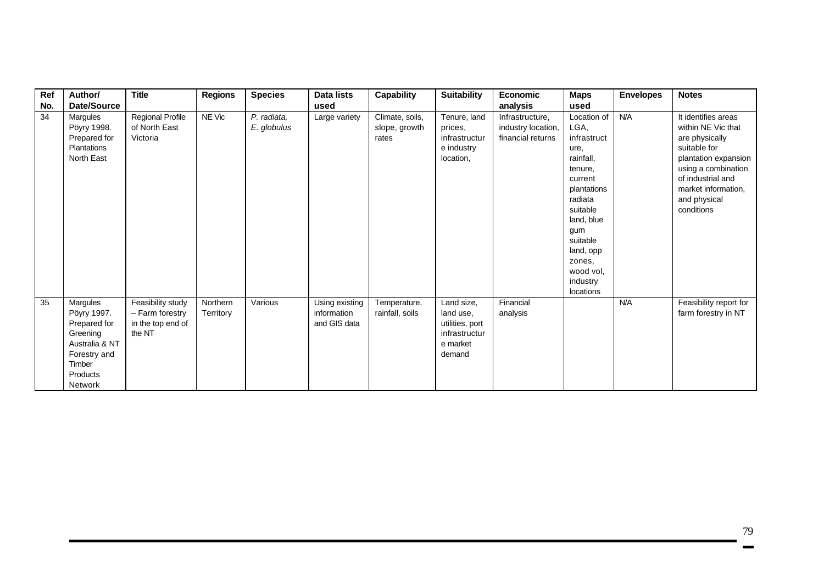| Ref | Author/                                                                                                                | <b>Title</b>                                                        | <b>Regions</b>        | <b>Species</b>             | Data lists                                    | Capability                                | <b>Suitability</b>                                                                | <b>Economic</b>                                            | <b>Maps</b>                                                                                                                                                                                                       | <b>Envelopes</b> | <b>Notes</b>                                                                                                                                                                                         |
|-----|------------------------------------------------------------------------------------------------------------------------|---------------------------------------------------------------------|-----------------------|----------------------------|-----------------------------------------------|-------------------------------------------|-----------------------------------------------------------------------------------|------------------------------------------------------------|-------------------------------------------------------------------------------------------------------------------------------------------------------------------------------------------------------------------|------------------|------------------------------------------------------------------------------------------------------------------------------------------------------------------------------------------------------|
| No. | Date/Source                                                                                                            |                                                                     |                       |                            | used                                          |                                           |                                                                                   | analysis                                                   | used                                                                                                                                                                                                              |                  |                                                                                                                                                                                                      |
| 34  | Margules<br>Pöyry 1998.<br>Prepared for<br>Plantations<br>North East                                                   | <b>Regional Profile</b><br>of North East<br>Victoria                | NE Vic                | P. radiata,<br>E. globulus | Large variety                                 | Climate, soils,<br>slope, growth<br>rates | Tenure, land<br>prices,<br>infrastructur<br>e industry<br>location,               | Infrastructure,<br>industry location,<br>financial returns | Location of<br>LGA,<br>infrastruct<br>ure,<br>rainfall,<br>tenure,<br>current<br>plantations<br>radiata<br>suitable<br>land, blue<br>gum<br>suitable<br>land, opp<br>zones,<br>wood vol,<br>industry<br>locations | N/A              | It identifies areas<br>within NE Vic that<br>are physically<br>suitable for<br>plantation expansion<br>using a combination<br>of industrial and<br>market information.<br>and physical<br>conditions |
| 35  | Margules<br>Pöyry 1997.<br>Prepared for<br>Greening<br>Australia & NT<br>Forestry and<br>Timber<br>Products<br>Network | Feasibility study<br>- Farm forestry<br>in the top end of<br>the NT | Northern<br>Territory | Various                    | Using existing<br>information<br>and GIS data | Temperature,<br>rainfall, soils           | Land size,<br>land use.<br>utilities, port<br>infrastructur<br>e market<br>demand | Financial<br>analysis                                      |                                                                                                                                                                                                                   | N/A              | Feasibility report for<br>farm forestry in NT                                                                                                                                                        |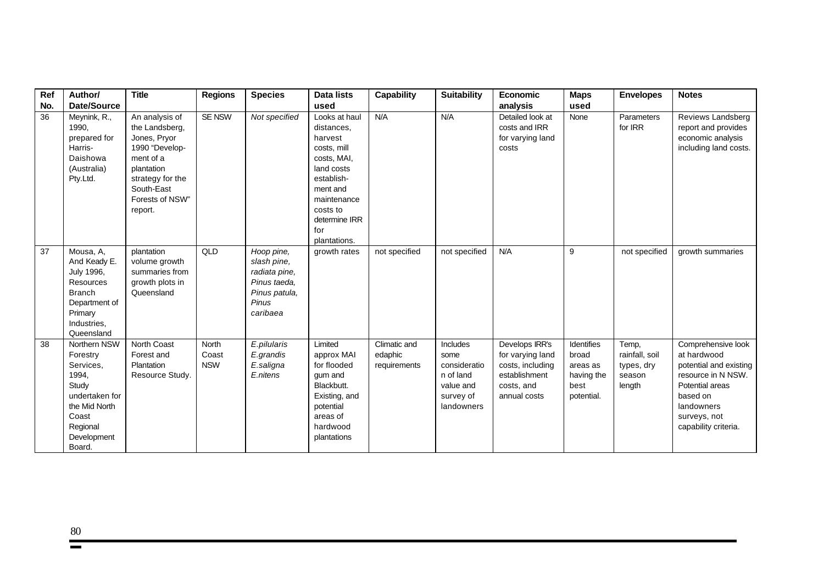| Ref | Author/                                                                                                                                  | <b>Title</b>                                                                                                                                                  | <b>Regions</b>                      | <b>Species</b>                                                                                   | <b>Data lists</b>                                                                                                                                                               | <b>Capability</b>                       | <b>Suitability</b>                                                                    | Economic                                                                                              | <b>Maps</b>                                                         | <b>Envelopes</b>                                          | <b>Notes</b>                                                                                                                                                           |
|-----|------------------------------------------------------------------------------------------------------------------------------------------|---------------------------------------------------------------------------------------------------------------------------------------------------------------|-------------------------------------|--------------------------------------------------------------------------------------------------|---------------------------------------------------------------------------------------------------------------------------------------------------------------------------------|-----------------------------------------|---------------------------------------------------------------------------------------|-------------------------------------------------------------------------------------------------------|---------------------------------------------------------------------|-----------------------------------------------------------|------------------------------------------------------------------------------------------------------------------------------------------------------------------------|
| No. | Date/Source                                                                                                                              |                                                                                                                                                               |                                     |                                                                                                  | used                                                                                                                                                                            |                                         |                                                                                       | analysis                                                                                              | used                                                                |                                                           |                                                                                                                                                                        |
| 36  | Meynink, R.,<br>1990,<br>prepared for<br>Harris-<br>Daishowa<br>(Australia)<br>Pty.Ltd.                                                  | An analysis of<br>the Landsberg,<br>Jones, Pryor<br>1990 "Develop-<br>ment of a<br>plantation<br>strategy for the<br>South-East<br>Forests of NSW"<br>report. | SE NSW                              | Not specified                                                                                    | Looks at haul<br>distances.<br>harvest<br>costs, mill<br>costs, MAI,<br>land costs<br>establish-<br>ment and<br>maintenance<br>costs to<br>determine IRR<br>for<br>plantations. | N/A                                     | N/A                                                                                   | Detailed look at<br>costs and IRR<br>for varying land<br>costs                                        | None                                                                | Parameters<br>for IRR                                     | Reviews Landsberg<br>report and provides<br>economic analysis<br>including land costs.                                                                                 |
| 37  | Mousa, A,<br>And Keady E.<br>July 1996,<br>Resources<br><b>Branch</b><br>Department of<br>Primary<br>Industries,<br>Queensland           | plantation<br>volume growth<br>summaries from<br>growth plots in<br>Queensland                                                                                | QLD                                 | Hoop pine,<br>slash pine.<br>radiata pine,<br>Pinus taeda,<br>Pinus patula,<br>Pinus<br>caribaea | growth rates                                                                                                                                                                    | not specified                           | not specified                                                                         | N/A                                                                                                   | 9                                                                   | not specified                                             | growth summaries                                                                                                                                                       |
| 38  | Northern NSW<br>Forestry<br>Services,<br>1994,<br>Study<br>undertaken for<br>the Mid North<br>Coast<br>Regional<br>Development<br>Board. | <b>North Coast</b><br>Forest and<br>Plantation<br>Resource Study.                                                                                             | <b>North</b><br>Coast<br><b>NSW</b> | E.pilularis<br>E.grandis<br>E.saligna<br>E.nitens                                                | Limited<br>approx MAI<br>for flooded<br>gum and<br>Blackbutt.<br>Existing, and<br>potential<br>areas of<br>hardwood<br>plantations                                              | Climatic and<br>edaphic<br>requirements | Includes<br>some<br>consideratio<br>n of land<br>value and<br>survey of<br>landowners | Develops IRR's<br>for varying land<br>costs, including<br>establishment<br>costs, and<br>annual costs | Identifies<br>broad<br>areas as<br>having the<br>best<br>potential. | Temp,<br>rainfall, soil<br>types, dry<br>season<br>length | Comprehensive look<br>at hardwood<br>potential and existing<br>resource in N NSW.<br>Potential areas<br>based on<br>landowners<br>surveys, not<br>capability criteria. |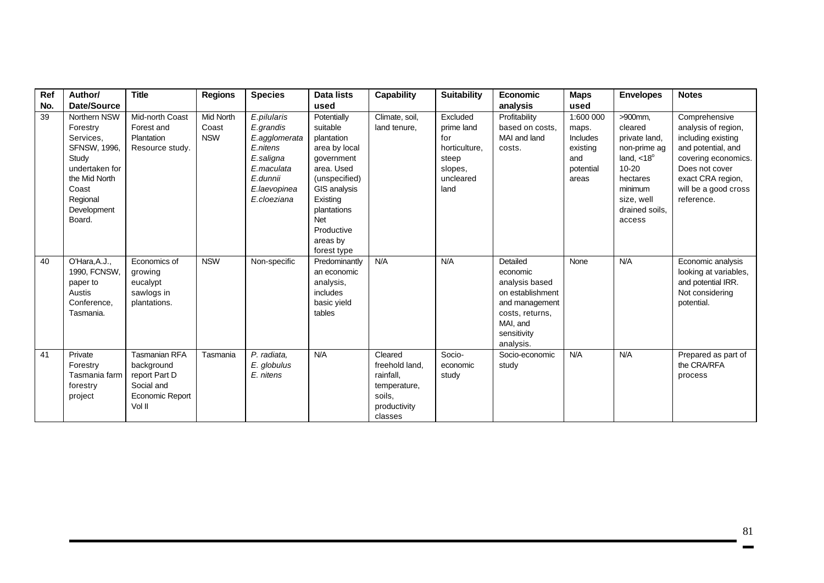| Ref | Author/                                                                                                                                                | <b>Title</b>                                                                                          | <b>Regions</b>                   | <b>Species</b>                                                                                                              | <b>Data lists</b>                                                                                                                                                                              | Capability                                                                                  | <b>Suitability</b>                                                                      | <b>Economic</b>                                                                                                                         | <b>Maps</b>                                                             | <b>Envelopes</b>                                                                                                                                             | <b>Notes</b>                                                                                                                                                                         |
|-----|--------------------------------------------------------------------------------------------------------------------------------------------------------|-------------------------------------------------------------------------------------------------------|----------------------------------|-----------------------------------------------------------------------------------------------------------------------------|------------------------------------------------------------------------------------------------------------------------------------------------------------------------------------------------|---------------------------------------------------------------------------------------------|-----------------------------------------------------------------------------------------|-----------------------------------------------------------------------------------------------------------------------------------------|-------------------------------------------------------------------------|--------------------------------------------------------------------------------------------------------------------------------------------------------------|--------------------------------------------------------------------------------------------------------------------------------------------------------------------------------------|
| No. | <b>Date/Source</b>                                                                                                                                     |                                                                                                       |                                  |                                                                                                                             | used                                                                                                                                                                                           |                                                                                             |                                                                                         | analysis                                                                                                                                | used                                                                    |                                                                                                                                                              |                                                                                                                                                                                      |
| 39  | Northern NSW<br>Forestry<br>Services,<br><b>SFNSW, 1996,</b><br>Study<br>undertaken for<br>the Mid North<br>Coast<br>Regional<br>Development<br>Board. | Mid-north Coast<br>Forest and<br>Plantation<br>Resource study.                                        | Mid North<br>Coast<br><b>NSW</b> | E.pilularis<br>E.grandis<br>E.agglomerata<br>E.nitens<br>E.saligna<br>E.maculata<br>E.dunnii<br>E.laevopinea<br>E.cloeziana | Potentially<br>suitable<br>plantation<br>area by local<br>government<br>area. Used<br>(unspecified)<br>GIS analysis<br>Existing<br>plantations<br>Net<br>Productive<br>areas by<br>forest type | Climate, soil,<br>land tenure,                                                              | Excluded<br>prime land<br>for<br>horticulture,<br>steep<br>slopes,<br>uncleared<br>land | Profitability<br>based on costs,<br>MAI and land<br>costs.                                                                              | 1:600 000<br>maps.<br>Includes<br>existing<br>and<br>potential<br>areas | >900mm,<br>cleared<br>private land,<br>non-prime ag<br>land, $<$ 18 $^{\circ}$<br>$10 - 20$<br>hectares<br>minimum<br>size, well<br>drained soils.<br>access | Comprehensive<br>analysis of region,<br>including existing<br>and potential, and<br>covering economics.<br>Does not cover<br>exact CRA region,<br>will be a good cross<br>reference. |
| 40  | O'Hara, A.J.,<br>1990, FCNSW,<br>paper to<br>Austis<br>Conference,<br>Tasmania.                                                                        | Economics of<br>growing<br>eucalypt<br>sawlogs in<br>plantations.                                     | <b>NSW</b>                       | Non-specific                                                                                                                | Predominantly<br>an economic<br>analysis,<br>includes<br>basic yield<br>tables                                                                                                                 | N/A                                                                                         | N/A                                                                                     | Detailed<br>economic<br>analysis based<br>on establishment<br>and management<br>costs, returns,<br>MAI, and<br>sensitivity<br>analysis. | None                                                                    | N/A                                                                                                                                                          | Economic analysis<br>looking at variables,<br>and potential IRR.<br>Not considering<br>potential.                                                                                    |
| 41  | Private<br>Forestry<br>Tasmania farm<br>forestry<br>project                                                                                            | <b>Tasmanian RFA</b><br>background<br>report Part D<br>Social and<br><b>Economic Report</b><br>Vol II | Tasmania                         | P. radiata,<br>E. globulus<br>E. nitens                                                                                     | N/A                                                                                                                                                                                            | Cleared<br>freehold land.<br>rainfall.<br>temperature,<br>soils.<br>productivity<br>classes | Socio-<br>economic<br>study                                                             | Socio-economic<br>study                                                                                                                 | N/A                                                                     | N/A                                                                                                                                                          | Prepared as part of<br>the CRA/RFA<br>process                                                                                                                                        |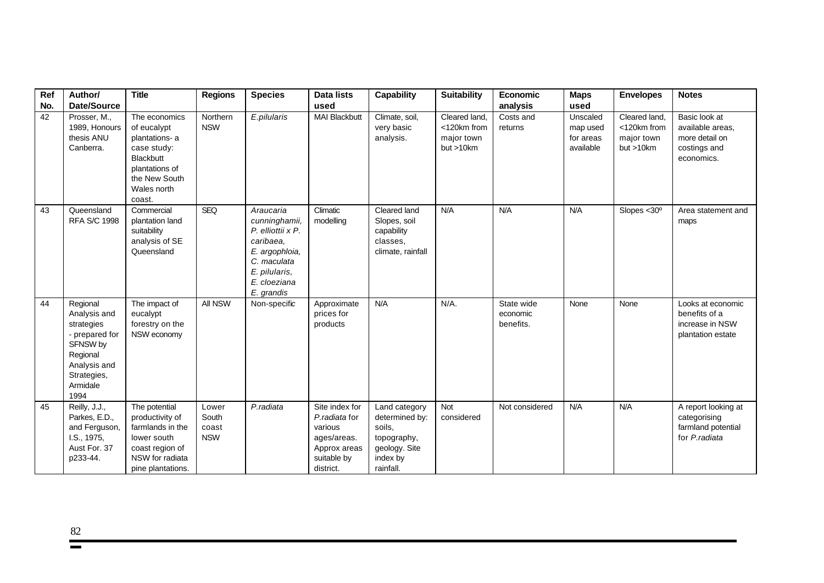| Ref | Author/                                                                                                                             | <b>Title</b>                                                                                                                           | <b>Regions</b>                        | <b>Species</b>                                                                                                                               | <b>Data lists</b>                                                                                     | <b>Capability</b>                                                                                  | <b>Suitability</b>                                        | <b>Economic</b>                     | <b>Maps</b>                                    | <b>Envelopes</b>                                        | <b>Notes</b>                                                                      |
|-----|-------------------------------------------------------------------------------------------------------------------------------------|----------------------------------------------------------------------------------------------------------------------------------------|---------------------------------------|----------------------------------------------------------------------------------------------------------------------------------------------|-------------------------------------------------------------------------------------------------------|----------------------------------------------------------------------------------------------------|-----------------------------------------------------------|-------------------------------------|------------------------------------------------|---------------------------------------------------------|-----------------------------------------------------------------------------------|
| No. | Date/Source                                                                                                                         |                                                                                                                                        |                                       |                                                                                                                                              | used                                                                                                  |                                                                                                    |                                                           | analysis                            | used                                           |                                                         |                                                                                   |
| 42  | Prosser, M.,<br>1989, Honours<br>thesis ANU<br>Canberra.                                                                            | The economics<br>of eucalypt<br>plantations- a<br>case study:<br>Blackbutt<br>plantations of<br>the New South<br>Wales north<br>coast. | Northern<br><b>NSW</b>                | E.pilularis                                                                                                                                  | <b>MAI Blackbutt</b>                                                                                  | Climate, soil,<br>very basic<br>analysis.                                                          | Cleared land,<br><120km from<br>major town<br>but > 10 km | Costs and<br>returns                | Unscaled<br>map used<br>for areas<br>available | Cleared land,<br><120km from<br>major town<br>but >10km | Basic look at<br>available areas.<br>more detail on<br>costings and<br>economics. |
| 43  | Queensland<br><b>RFA S/C 1998</b>                                                                                                   | Commercial<br>plantation land<br>suitability<br>analysis of SE<br>Queensland                                                           | <b>SEQ</b>                            | Araucaria<br>cunninghamii,<br>P. elliottii x P.<br>caribaea.<br>E. argophloia,<br>C. maculata<br>E. pilularis,<br>E. cloeziana<br>E. grandis | Climatic<br>modelling                                                                                 | Cleared land<br>Slopes, soil<br>capability<br>classes.<br>climate, rainfall                        | N/A                                                       | N/A                                 | N/A                                            | Slopes $<$ 30 $^{\circ}$                                | Area statement and<br>maps                                                        |
| 44  | Regional<br>Analysis and<br>strategies<br>- prepared for<br>SFNSW by<br>Regional<br>Analysis and<br>Strategies,<br>Armidale<br>1994 | The impact of<br>eucalypt<br>forestry on the<br>NSW economy                                                                            | All NSW                               | Non-specific                                                                                                                                 | Approximate<br>prices for<br>products                                                                 | N/A                                                                                                | $N/A$ .                                                   | State wide<br>economic<br>benefits. | None                                           | None                                                    | Looks at economic<br>benefits of a<br>increase in NSW<br>plantation estate        |
| 45  | Reilly, J.J.,<br>Parkes, E.D.,<br>and Ferguson,<br>I.S., 1975,<br>Aust For. 37<br>p233-44.                                          | The potential<br>productivity of<br>farmlands in the<br>lower south<br>coast region of<br>NSW for radiata<br>pine plantations.         | Lower<br>South<br>coast<br><b>NSW</b> | P.radiata                                                                                                                                    | Site index for<br>P.radiata for<br>various<br>ages/areas.<br>Approx areas<br>suitable by<br>district. | Land category<br>determined by:<br>soils,<br>topography,<br>geology. Site<br>index by<br>rainfall. | <b>Not</b><br>considered                                  | Not considered                      | N/A                                            | N/A                                                     | A report looking at<br>categorising<br>farmland potential<br>for P.radiata        |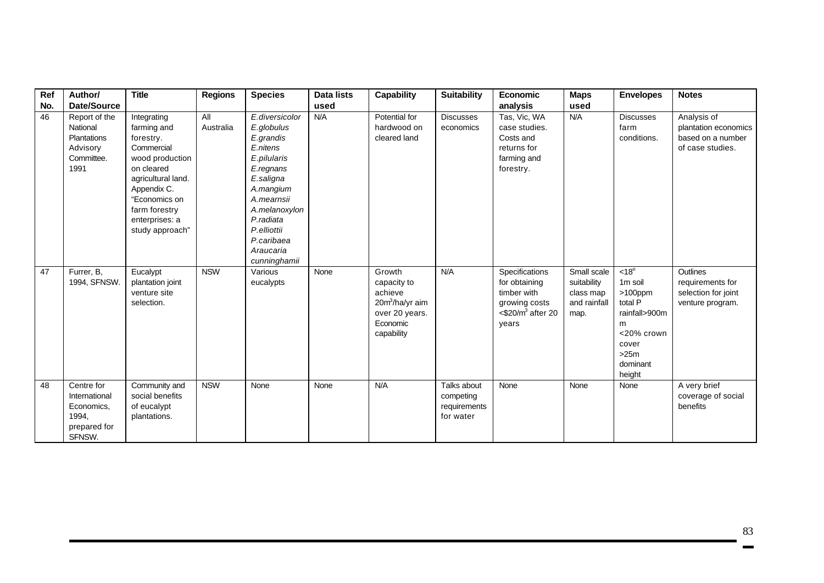| Ref | Author/                                                                           | <b>Title</b>                                                                                                                                                                                       | <b>Regions</b>   | <b>Species</b>                                                                                                                                                                                                    | <b>Data lists</b> | <b>Capability</b>                                                                                           | <b>Suitability</b>                                    | Economic                                                                                                     | <b>Maps</b>                                                     | <b>Envelopes</b>                                                                                                                          | <b>Notes</b>                                                                 |
|-----|-----------------------------------------------------------------------------------|----------------------------------------------------------------------------------------------------------------------------------------------------------------------------------------------------|------------------|-------------------------------------------------------------------------------------------------------------------------------------------------------------------------------------------------------------------|-------------------|-------------------------------------------------------------------------------------------------------------|-------------------------------------------------------|--------------------------------------------------------------------------------------------------------------|-----------------------------------------------------------------|-------------------------------------------------------------------------------------------------------------------------------------------|------------------------------------------------------------------------------|
| No. | Date/Source                                                                       |                                                                                                                                                                                                    |                  |                                                                                                                                                                                                                   | used              |                                                                                                             |                                                       | analysis                                                                                                     | used                                                            |                                                                                                                                           |                                                                              |
| 46  | Report of the<br>National<br><b>Plantations</b><br>Advisory<br>Committee.<br>1991 | Integrating<br>farming and<br>forestry.<br>Commercial<br>wood production<br>on cleared<br>agricultural land.<br>Appendix C.<br>"Economics on<br>farm forestry<br>enterprises: a<br>study approach" | All<br>Australia | E.diversicolor<br>E.globulus<br>E.grandis<br>E.nitens<br>E.pilularis<br>E.regnans<br>E.saligna<br>A.mangium<br>A.mearnsii<br>A.melanoxylon<br>P.radiata<br>P.elliottii<br>P.caribaea<br>Araucaria<br>cunninghamii | N/A               | Potential for<br>hardwood on<br>cleared land                                                                | <b>Discusses</b><br>economics                         | Tas, Vic, WA<br>case studies.<br>Costs and<br>returns for<br>farming and<br>forestry.                        | N/A                                                             | <b>Discusses</b><br>farm<br>conditions.                                                                                                   | Analysis of<br>plantation economics<br>based on a number<br>of case studies. |
| 47  | Furrer, B.<br>1994, SFNSW.                                                        | Eucalypt<br>plantation joint<br>venture site<br>selection.                                                                                                                                         | <b>NSW</b>       | Various<br>eucalypts                                                                                                                                                                                              | None              | Growth<br>capacity to<br>achieve<br>20m <sup>3</sup> /ha/yr aim<br>over 20 years.<br>Economic<br>capability | N/A                                                   | Specifications<br>for obtaining<br>timber with<br>growing costs<br>$<$ \$20/m <sup>3</sup> after 20<br>years | Small scale<br>suitability<br>class map<br>and rainfall<br>map. | $< 18^{\circ}$<br>1 <sub>m</sub> soil<br>$>100$ ppm<br>total P<br>rainfall>900m<br>m<br><20% crown<br>cover<br>>25m<br>dominant<br>height | Outlines<br>requirements for<br>selection for joint<br>venture program.      |
| 48  | Centre for<br>International<br>Economics,<br>1994,<br>prepared for<br>SFNSW.      | Community and<br>social benefits<br>of eucalypt<br>plantations.                                                                                                                                    | <b>NSW</b>       | None                                                                                                                                                                                                              | None              | N/A                                                                                                         | Talks about<br>competing<br>requirements<br>for water | None                                                                                                         | None                                                            | None                                                                                                                                      | A very brief<br>coverage of social<br>benefits                               |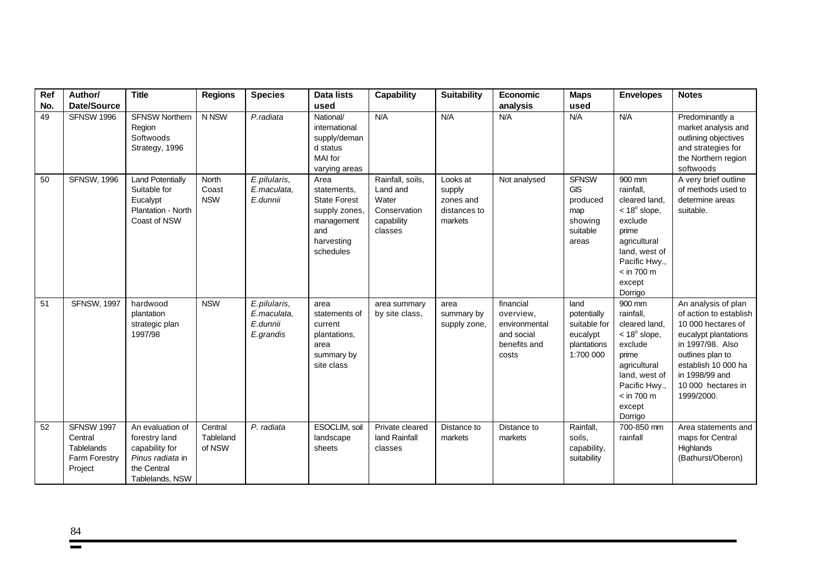| Ref | Author/                                                                       | <b>Title</b>                                                                                              | <b>Regions</b>                 | <b>Species</b>                                       | Data lists                                                                                                  | <b>Capability</b>                                                              | <b>Suitability</b>                                         | <b>Economic</b>                                                                | <b>Maps</b>                                                                   | <b>Envelopes</b>                                                                                                                                                            | <b>Notes</b>                                                                                                                                                                                                     |
|-----|-------------------------------------------------------------------------------|-----------------------------------------------------------------------------------------------------------|--------------------------------|------------------------------------------------------|-------------------------------------------------------------------------------------------------------------|--------------------------------------------------------------------------------|------------------------------------------------------------|--------------------------------------------------------------------------------|-------------------------------------------------------------------------------|-----------------------------------------------------------------------------------------------------------------------------------------------------------------------------|------------------------------------------------------------------------------------------------------------------------------------------------------------------------------------------------------------------|
| No. | Date/Source                                                                   |                                                                                                           |                                |                                                      | used                                                                                                        |                                                                                |                                                            | analysis                                                                       | used                                                                          |                                                                                                                                                                             |                                                                                                                                                                                                                  |
| 49  | <b>SFNSW 1996</b>                                                             | <b>SFNSW Northern</b><br>Region<br>Softwoods<br>Strategy, 1996                                            | N NSW                          | P.radiata                                            | National/<br>international<br>supply/deman<br>d status<br><b>MAI</b> for<br>varying areas                   | N/A                                                                            | N/A                                                        | N/A                                                                            | N/A                                                                           | N/A                                                                                                                                                                         | Predominantly a<br>market analysis and<br>outlining objectives<br>and strategies for<br>the Northern region<br>softwoods                                                                                         |
| 50  | <b>SFNSW, 1996</b>                                                            | <b>Land Potentially</b><br>Suitable for<br>Eucalypt<br>Plantation - North<br>Coast of NSW                 | North<br>Coast<br><b>NSW</b>   | E.pilularis,<br>E.maculata,<br>E.dunnii              | Area<br>statements,<br><b>State Forest</b><br>supply zones,<br>management<br>and<br>harvesting<br>schedules | Rainfall, soils,<br>Land and<br>Water<br>Conservation<br>capability<br>classes | Looks at<br>supply<br>zones and<br>distances to<br>markets | Not analysed                                                                   | <b>SFNSW</b><br><b>GIS</b><br>produced<br>map<br>showing<br>suitable<br>areas | 900 mm<br>rainfall.<br>cleared land,<br>$<$ 18 $^{\circ}$ slope,<br>exclude<br>prime<br>agricultural<br>land, west of<br>Pacific Hwy.,<br>$<$ in 700 m<br>except<br>Dorrigo | A very brief outline<br>of methods used to<br>determine areas<br>suitable.                                                                                                                                       |
| 51  | <b>SFNSW, 1997</b>                                                            | hardwood<br>plantation<br>strategic plan<br>1997/98                                                       | <b>NSW</b>                     | E.pilularis,<br>E.maculata,<br>E.dunnii<br>E.grandis | area<br>statements of<br>current<br>plantations,<br>area<br>summary by<br>site class                        | area summary<br>by site class,                                                 | area<br>summary by<br>supply zone,                         | financial<br>overview,<br>environmental<br>and social<br>benefits and<br>costs | land<br>potentially<br>suitable for<br>eucalypt<br>plantations<br>1:700 000   | 900 mm<br>rainfall.<br>cleared land,<br>$<$ 18 $^{\circ}$ slope,<br>exclude<br>prime<br>agricultural<br>land, west of<br>Pacific Hwy.,<br>$<$ in 700 m<br>except<br>Dorrigo | An analysis of plan<br>of action to establish<br>10 000 hectares of<br>eucalypt plantations<br>in 1997/98. Also<br>outlines plan to<br>establish 10 000 ha<br>in 1998/99 and<br>10 000 hectares in<br>1999/2000. |
| 52  | <b>SFNSW 1997</b><br>Central<br><b>Tablelands</b><br>Farm Forestry<br>Project | An evaluation of<br>forestry land<br>capability for<br>Pinus radiata in<br>the Central<br>Tablelands, NSW | Central<br>Tableland<br>of NSW | P. radiata                                           | ESOCLIM, soil<br>landscape<br>sheets                                                                        | Private cleared<br>land Rainfall<br>classes                                    | Distance to<br>markets                                     | Distance to<br>markets                                                         | Rainfall,<br>soils,<br>capability,<br>suitability                             | 700-850 mm<br>rainfall                                                                                                                                                      | Area statements and<br>maps for Central<br>Highlands<br>(Bathurst/Oberon)                                                                                                                                        |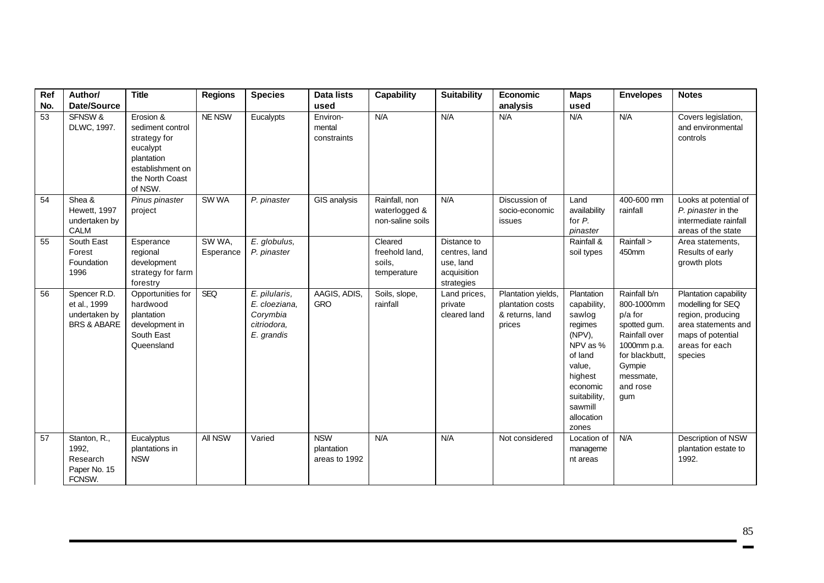| Ref<br>No. | Author/<br><b>Date/Source</b>                                           | <b>Title</b>                                                                                                              | <b>Regions</b>      | <b>Species</b>                                                          | <b>Data lists</b><br>used                 | <b>Capability</b>                                  | <b>Suitability</b>                                                     | Economic<br>analysis                                                | <b>Maps</b><br>used                                                                                                                                                | <b>Envelopes</b>                                                                                                                                  | <b>Notes</b>                                                                                                                             |
|------------|-------------------------------------------------------------------------|---------------------------------------------------------------------------------------------------------------------------|---------------------|-------------------------------------------------------------------------|-------------------------------------------|----------------------------------------------------|------------------------------------------------------------------------|---------------------------------------------------------------------|--------------------------------------------------------------------------------------------------------------------------------------------------------------------|---------------------------------------------------------------------------------------------------------------------------------------------------|------------------------------------------------------------------------------------------------------------------------------------------|
| 53         | SFNSW &<br>DLWC, 1997.                                                  | Erosion &<br>sediment control<br>strategy for<br>eucalypt<br>plantation<br>establishment on<br>the North Coast<br>of NSW. | NE NSW              | Eucalypts                                                               | Environ-<br>mental<br>constraints         | N/A                                                | N/A                                                                    | N/A                                                                 | N/A                                                                                                                                                                | N/A                                                                                                                                               | Covers legislation,<br>and environmental<br>controls                                                                                     |
| 54         | Shea &<br><b>Hewett, 1997</b><br>undertaken by<br>CALM                  | Pinus pinaster<br>project                                                                                                 | SW WA               | P. pinaster                                                             | GIS analysis                              | Rainfall, non<br>waterlogged &<br>non-saline soils | N/A                                                                    | Discussion of<br>socio-economic<br>issues                           | Land<br>availability<br>for P.<br>pinaster                                                                                                                         | 400-600 mm<br>rainfall                                                                                                                            | Looks at potential of<br>P. pinaster in the<br>intermediate rainfall<br>areas of the state                                               |
| 55         | South East<br>Forest<br>Foundation<br>1996                              | Esperance<br>regional<br>development<br>strategy for farm<br>forestry                                                     | SW WA,<br>Esperance | E. globulus,<br>P. pinaster                                             |                                           | Cleared<br>freehold land,<br>soils.<br>temperature | Distance to<br>centres, land<br>use, land<br>acquisition<br>strategies |                                                                     | Rainfall &<br>soil types                                                                                                                                           | Rainfall ><br>450mm                                                                                                                               | Area statements,<br>Results of early<br>growth plots                                                                                     |
| 56         | Spencer R.D.<br>et al., 1999<br>undertaken by<br><b>BRS &amp; ABARE</b> | Opportunities for<br>hardwood<br>plantation<br>development in<br>South East<br>Queensland                                 | SEQ                 | E. pilularis,<br>E. cloeziana.<br>Corymbia<br>citriodora,<br>E. grandis | AAGIS, ADIS,<br><b>GRO</b>                | Soils, slope,<br>rainfall                          | Land prices,<br>private<br>cleared land                                | Plantation yields,<br>plantation costs<br>& returns, land<br>prices | Plantation<br>capability,<br>sawlog<br>regimes<br>(NPV),<br>NPV as %<br>of land<br>value,<br>highest<br>economic<br>suitability,<br>sawmill<br>allocation<br>zones | Rainfall b/n<br>800-1000mm<br>p/a for<br>spotted gum.<br>Rainfall over<br>1000mm p.a.<br>for blackbutt,<br>Gympie<br>messmate,<br>and rose<br>gum | Plantation capability<br>modelling for SEQ<br>region, producing<br>area statements and<br>maps of potential<br>areas for each<br>species |
| 57         | Stanton, R.,<br>1992,<br>Research<br>Paper No. 15<br>FCNSW.             | Eucalyptus<br>plantations in<br><b>NSW</b>                                                                                | All NSW             | Varied                                                                  | <b>NSW</b><br>plantation<br>areas to 1992 | N/A                                                | N/A                                                                    | Not considered                                                      | Location of<br>manageme<br>nt areas                                                                                                                                | N/A                                                                                                                                               | Description of NSW<br>plantation estate to<br>1992.                                                                                      |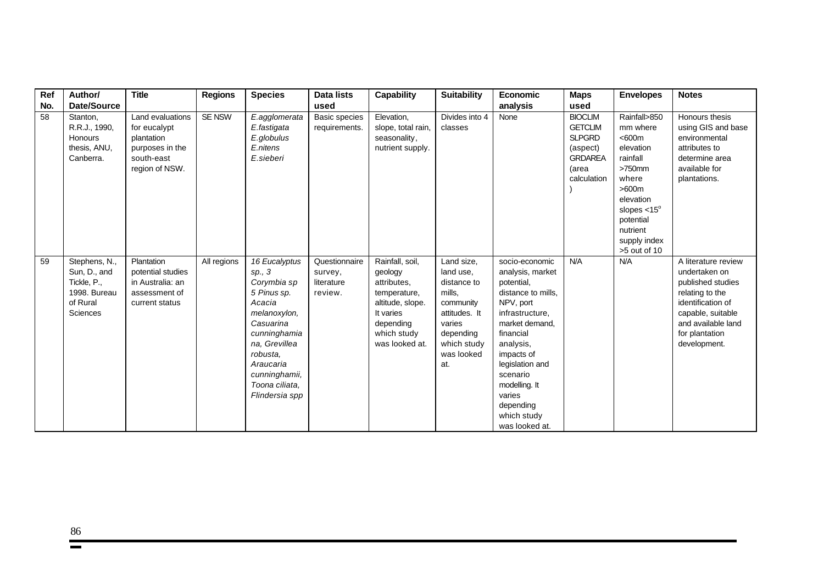| Ref | Author/                                                                              | <b>Title</b>                                                                                      | <b>Regions</b> | <b>Species</b>                                                                                                                                                                                              | <b>Data lists</b>                                 | <b>Capability</b>                                                                                                                        | <b>Suitability</b>                                                                                                                        | <b>Economic</b>                                                                                                                                                                                                                                                          | <b>Maps</b>                                                                                             | <b>Envelopes</b>                                                                                                                                                                       | <b>Notes</b>                                                                                                                                                                   |
|-----|--------------------------------------------------------------------------------------|---------------------------------------------------------------------------------------------------|----------------|-------------------------------------------------------------------------------------------------------------------------------------------------------------------------------------------------------------|---------------------------------------------------|------------------------------------------------------------------------------------------------------------------------------------------|-------------------------------------------------------------------------------------------------------------------------------------------|--------------------------------------------------------------------------------------------------------------------------------------------------------------------------------------------------------------------------------------------------------------------------|---------------------------------------------------------------------------------------------------------|----------------------------------------------------------------------------------------------------------------------------------------------------------------------------------------|--------------------------------------------------------------------------------------------------------------------------------------------------------------------------------|
| No. | <b>Date/Source</b>                                                                   |                                                                                                   |                |                                                                                                                                                                                                             | used                                              |                                                                                                                                          |                                                                                                                                           | analysis                                                                                                                                                                                                                                                                 | used                                                                                                    |                                                                                                                                                                                        |                                                                                                                                                                                |
| 58  | Stanton,<br>R.R.J., 1990,<br>Honours<br>thesis, ANU,<br>Canberra.                    | Land evaluations<br>for eucalypt<br>plantation<br>purposes in the<br>south-east<br>region of NSW. | <b>SE NSW</b>  | E.agglomerata<br>E.fastigata<br>E.globulus<br>E.nitens<br>E.sieberi                                                                                                                                         | <b>Basic species</b><br>requirements.             | Elevation,<br>slope, total rain,<br>seasonality,<br>nutrient supply.                                                                     | Divides into 4<br>classes                                                                                                                 | None                                                                                                                                                                                                                                                                     | <b>BIOCLIM</b><br><b>GETCLIM</b><br><b>SLPGRD</b><br>(aspect)<br><b>GRDAREA</b><br>(area<br>calculation | Rainfall>850<br>mm where<br><600m<br>elevation<br>rainfall<br>$>750$ mm<br>where<br>>600m<br>elevation<br>slopes $< 15^\circ$<br>potential<br>nutrient<br>supply index<br>>5 out of 10 | Honours thesis<br>using GIS and base<br>environmental<br>attributes to<br>determine area<br>available for<br>plantations.                                                      |
| 59  | Stephens, N.,<br>Sun, D., and<br>Tickle, P.,<br>1998. Bureau<br>of Rural<br>Sciences | Plantation<br>potential studies<br>in Australia: an<br>assessment of<br>current status            | All regions    | 16 Eucalyptus<br>sp., 3<br>Corymbia sp<br>5 Pinus sp.<br>Acacia<br>melanoxylon,<br>Casuarina<br>cunninghamia<br>na, Grevillea<br>robusta.<br>Araucaria<br>cunninghamii,<br>Toona ciliata.<br>Flindersia spp | Questionnaire<br>survey,<br>literature<br>review. | Rainfall, soil,<br>geology<br>attributes,<br>temperature,<br>altitude, slope.<br>It varies<br>depending<br>which study<br>was looked at. | Land size,<br>land use,<br>distance to<br>mills,<br>community<br>attitudes. It<br>varies<br>depending<br>which study<br>was looked<br>at. | socio-economic<br>analysis, market<br>potential,<br>distance to mills,<br>NPV, port<br>infrastructure,<br>market demand.<br>financial<br>analysis,<br>impacts of<br>legislation and<br>scenario<br>modelling. It<br>varies<br>depending<br>which study<br>was looked at. | N/A                                                                                                     | N/A                                                                                                                                                                                    | A literature review<br>undertaken on<br>published studies<br>relating to the<br>identification of<br>capable, suitable<br>and available land<br>for plantation<br>development. |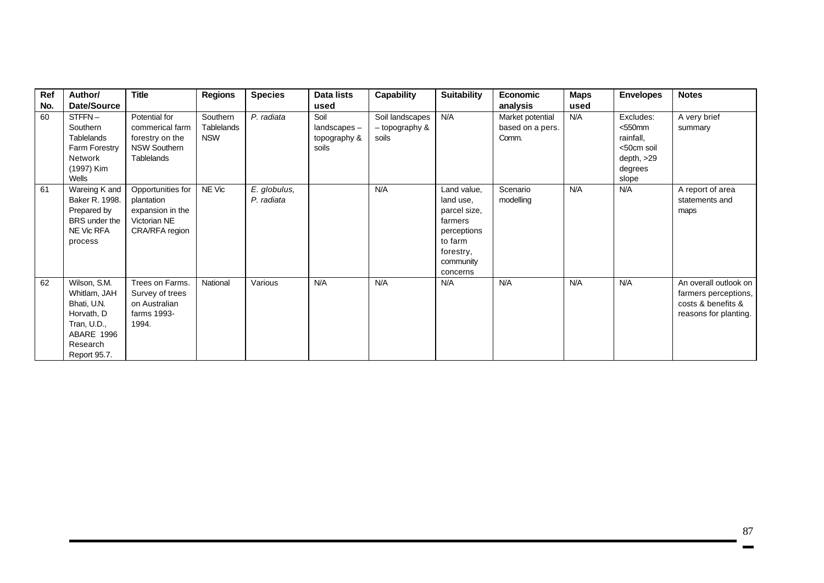| Ref | Author/                                                                                                            | <b>Title</b>                                                                             | <b>Regions</b>                       | <b>Species</b>             | Data lists                                   | Capability                                 | <b>Suitability</b>                                                                                                  | Economic                                      | <b>Maps</b> | <b>Envelopes</b>                                                                         | <b>Notes</b>                                                                                 |
|-----|--------------------------------------------------------------------------------------------------------------------|------------------------------------------------------------------------------------------|--------------------------------------|----------------------------|----------------------------------------------|--------------------------------------------|---------------------------------------------------------------------------------------------------------------------|-----------------------------------------------|-------------|------------------------------------------------------------------------------------------|----------------------------------------------------------------------------------------------|
| No. | Date/Source                                                                                                        |                                                                                          |                                      |                            | used                                         |                                            |                                                                                                                     | analysis                                      | used        |                                                                                          |                                                                                              |
| 60  | STFFN-<br>Southern<br>Tablelands<br>Farm Forestry<br>Network<br>(1997) Kim<br>Wells                                | Potential for<br>commerical farm<br>forestry on the<br><b>NSW Southern</b><br>Tablelands | Southern<br>Tablelands<br><b>NSW</b> | P. radiata                 | Soil<br>landscapes-<br>topography &<br>soils | Soil landscapes<br>- topography &<br>soils | N/A                                                                                                                 | Market potential<br>based on a pers.<br>Comm. | N/A         | Excludes:<br>$<$ 550 $mm$<br>rainfall.<br><50cm soil<br>depth, $>29$<br>degrees<br>slope | A very brief<br>summary                                                                      |
| 61  | Wareing K and<br>Baker R. 1998.<br>Prepared by<br>BRS under the<br>NE Vic RFA<br>process                           | Opportunities for<br>plantation<br>expansion in the<br>Victorian NE<br>CRA/RFA region    | NE Vic                               | E. globulus,<br>P. radiata |                                              | N/A                                        | Land value,<br>land use,<br>parcel size,<br>farmers<br>perceptions<br>to farm<br>forestry,<br>community<br>concerns | Scenario<br>modelling                         | N/A         | N/A                                                                                      | A report of area<br>statements and<br>maps                                                   |
| 62  | Wilson, S.M.<br>Whitlam, JAH<br>Bhati, U.N.<br>Horvath, D<br>Tran, U.D.,<br>ABARE 1996<br>Research<br>Report 95.7. | Trees on Farms.<br>Survey of trees<br>on Australian<br>farms 1993-<br>1994.              | National                             | Various                    | N/A                                          | N/A                                        | N/A                                                                                                                 | N/A                                           | N/A         | N/A                                                                                      | An overall outlook on<br>farmers perceptions,<br>costs & benefits &<br>reasons for planting. |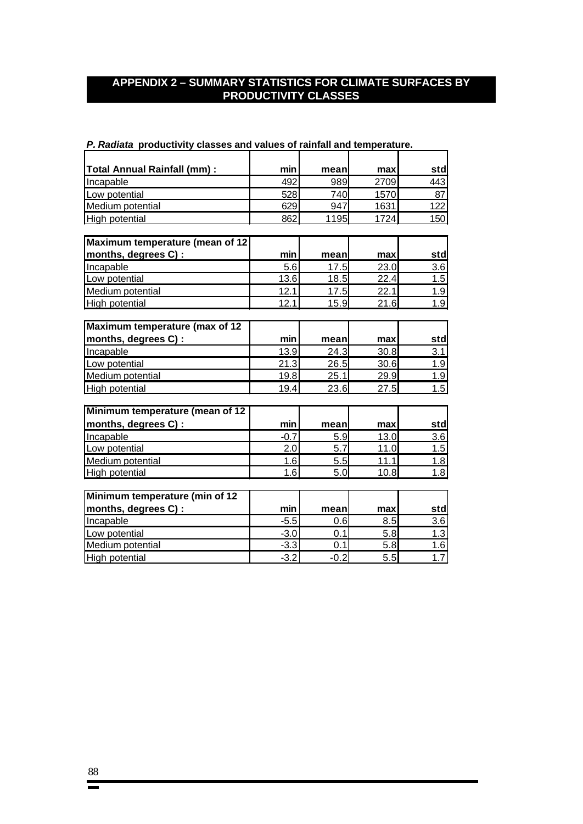# **APPENDIX 2 – SUMMARY STATISTICS FOR CLIMATE SURFACES BY PRODUCTIVITY CLASSES**

| $\bm{\tau}$ . Naurata productivity classes and values of failifial and temperature. |        |        |      |                  |
|-------------------------------------------------------------------------------------|--------|--------|------|------------------|
|                                                                                     |        |        |      |                  |
| <b>Total Annual Rainfall (mm):</b>                                                  | min    | mean   | max  | std              |
| Incapable                                                                           | 492    | 989    | 2709 | 443              |
| Low potential                                                                       | 528    | 740    | 1570 | 87               |
| Medium potential                                                                    | 629    | 947    | 1631 | 122              |
| High potential                                                                      | 862    | 1195   | 1724 | 150              |
| Maximum temperature (mean of 12                                                     |        |        |      |                  |
| months, degrees C) :                                                                | min    | mean   | max  | std              |
| Incapable                                                                           | 5.6    | 17.5   | 23.0 | 3.6              |
| Low potential                                                                       | 13.6   | 18.5   | 22.4 | $\overline{1.5}$ |
| Medium potential                                                                    | 12.1   | 17.5   | 22.1 | 1.9              |
| High potential                                                                      | 12.1   | 15.9   | 21.6 | 1.9              |
|                                                                                     |        |        |      |                  |
| Maximum temperature (max of 12                                                      |        |        |      |                  |
| months, degrees C) :                                                                | min    | mean   | max  | std              |
| Incapable                                                                           | 13.9   | 24.3   | 30.8 | 3.1              |
| Low potential                                                                       | 21.3   | 26.5   | 30.6 | 1.9              |
| Medium potential                                                                    | 19.8   | 25.1   | 29.9 | 1.9              |
| High potential                                                                      | 19.4   | 23.6   | 27.5 | 1.5              |
|                                                                                     |        |        |      |                  |
| Minimum temperature (mean of 12                                                     |        |        |      |                  |
| months, degrees C) :                                                                | min    | mean   | max  | std              |
| Incapable                                                                           | $-0.7$ | 5.9    | 13.0 | 3.6              |
| Low potential                                                                       | 2.0    | 5.7    | 11.0 | 1.5              |
| Medium potential                                                                    | 1.6    | 5.5    | 11.1 | 1.8              |
| High potential                                                                      | 1.6    | 5.0    | 10.8 | 1.8              |
|                                                                                     |        |        |      |                  |
| Minimum temperature (min of 12                                                      |        |        |      |                  |
| months, degrees C) :                                                                | min    | mean   | max  | std              |
| Incapable                                                                           | $-5.5$ | 0.6    | 8.5  | 3.6              |
| Low potential                                                                       | $-3.0$ | 0.1    | 5.8  | 1.3              |
| Medium potential                                                                    | $-3.3$ | 0.1    | 5.8  | 1.6              |
| High potential                                                                      | $-3.2$ | $-0.2$ | 5.5  | 1.7              |

*P. Radiata* **productivity classes and values of rainfall and temperature.**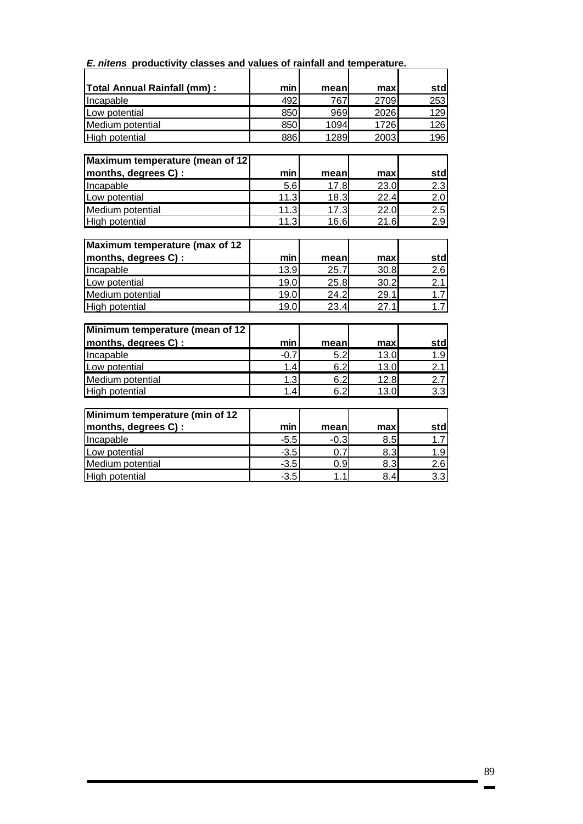| E. nitens productivity classes and values of rainfall and temperature. |  |  |
|------------------------------------------------------------------------|--|--|
|------------------------------------------------------------------------|--|--|

| Total Annual Rainfall (mm) :    | min    | mean   | max  | std              |
|---------------------------------|--------|--------|------|------------------|
| Incapable                       | 492    | 767    | 2709 | 253              |
| Low potential                   | 850    | 969    | 2026 | 129              |
| Medium potential                | 850    | 1094   | 1726 | 126              |
| High potential                  | 886    | 1289   | 2003 | 196              |
|                                 |        |        |      |                  |
| Maximum temperature (mean of 12 |        |        |      |                  |
| months, degrees C) :            | min    | mean   | max  | std              |
| Incapable                       | 5.6    | 17.8   | 23.0 | 2.3              |
| Low potential                   | 11.3   | 18.3   | 22.4 | 2.0              |
| Medium potential                | 11.3   | 17.3   | 22.0 | 2.5              |
| High potential                  | 11.3   | 16.6   | 21.6 | 2.9              |
|                                 |        |        |      |                  |
| Maximum temperature (max of 12  |        |        |      |                  |
| months, degrees C) :            | min    | mean   | max  | std              |
| Incapable                       | 13.9   | 25.7   | 30.8 | 2.6              |
| Low potential                   | 19.0   | 25.8   | 30.2 | 2.1              |
| Medium potential                | 19.0   | 24.2   | 29.1 | 1.7              |
| High potential                  | 19.0   | 23.4   | 27.1 | 1.7              |
| Minimum temperature (mean of 12 |        |        |      |                  |
| months, degrees C) :            | min    | mean   | max  | std              |
| Incapable                       | $-0.7$ | 5.2    | 13.0 | 1.9              |
| Low potential                   | 1.4    | 6.2    | 13.0 | 2.1              |
| Medium potential                | 1.3    | 6.2    | 12.8 | 2.7              |
| High potential                  | 1.4    | 6.2    | 13.0 | $\overline{3.3}$ |
|                                 |        |        |      |                  |
| Minimum temperature (min of 12  |        |        |      |                  |
| months, degrees C) :            | min    | mean   | max  | std              |
| Incapable                       | $-5.5$ | $-0.3$ | 8.5  | 1.7              |
| Low potential                   | $-3.5$ | 0.7    | 8.3  | 1.9              |
| Medium potential                | $-3.5$ | 0.9    | 8.3  | 2.6              |
| High potential                  | $-3.5$ | 1.1    | 8.4  | 3.3              |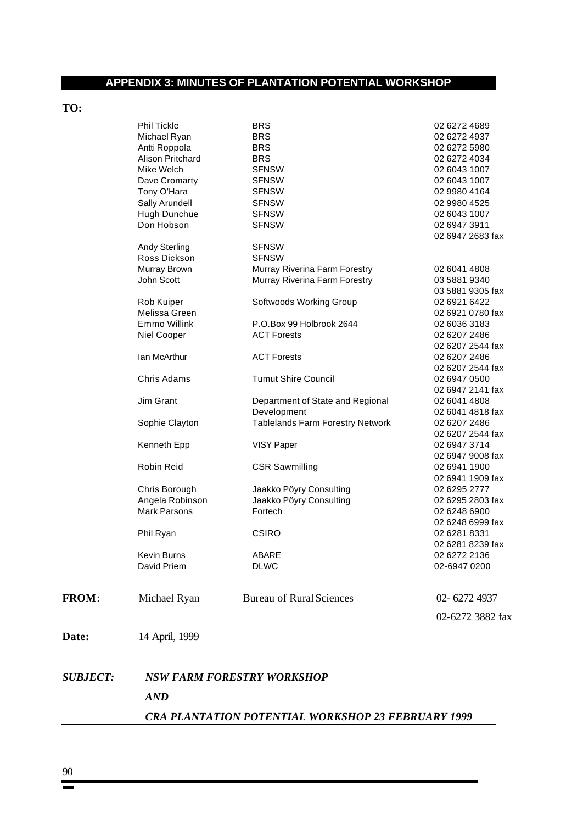# **APPENDIX 3: MINUTES OF PLANTATION POTENTIAL WORKSHOP**

# **TO:**

|                 | CRA PLANTATION POTENTIAL WORKSHOP 23 FEBRUARY 1999 |                                         |                                  |  |  |  |  |  |  |  |
|-----------------|----------------------------------------------------|-----------------------------------------|----------------------------------|--|--|--|--|--|--|--|
|                 | <b>AND</b>                                         |                                         |                                  |  |  |  |  |  |  |  |
| <b>SUBJECT:</b> |                                                    | <b>NSW FARM FORESTRY WORKSHOP</b>       |                                  |  |  |  |  |  |  |  |
| Date:           | 14 April, 1999                                     |                                         |                                  |  |  |  |  |  |  |  |
|                 |                                                    |                                         | 02-6272 3882 fax                 |  |  |  |  |  |  |  |
| FROM:           | Michael Ryan                                       | <b>Bureau of Rural Sciences</b>         | 02-6272 4937                     |  |  |  |  |  |  |  |
|                 | David Priem                                        | <b>DLWC</b>                             | 02-6947 0200                     |  |  |  |  |  |  |  |
|                 | Kevin Burns                                        | ABARF                                   | 02 6281 8239 fax<br>02 6272 2136 |  |  |  |  |  |  |  |
|                 | Phil Ryan                                          | <b>CSIRO</b>                            | 02 6281 8331                     |  |  |  |  |  |  |  |
|                 |                                                    |                                         | 02 6248 6999 fax                 |  |  |  |  |  |  |  |
|                 | <b>Mark Parsons</b>                                | Fortech                                 | 02 6248 6900                     |  |  |  |  |  |  |  |
|                 | Angela Robinson                                    | Jaakko Pöyry Consulting                 | 02 6295 2803 fax                 |  |  |  |  |  |  |  |
|                 | Chris Borough                                      | Jaakko Pöyry Consulting                 | 02 6295 2777                     |  |  |  |  |  |  |  |
|                 |                                                    |                                         | 02 6941 1909 fax                 |  |  |  |  |  |  |  |
|                 | Robin Reid                                         | <b>CSR Sawmilling</b>                   | 02 6947 9008 fax<br>02 6941 1900 |  |  |  |  |  |  |  |
|                 | Kenneth Epp                                        | VISY Paper                              | 02 6947 3714                     |  |  |  |  |  |  |  |
|                 |                                                    |                                         | 02 6207 2544 fax                 |  |  |  |  |  |  |  |
|                 | Sophie Clayton                                     | <b>Tablelands Farm Forestry Network</b> | 02 6207 2486                     |  |  |  |  |  |  |  |
|                 |                                                    | Development                             | 02 6041 4818 fax                 |  |  |  |  |  |  |  |
|                 | Jim Grant                                          | Department of State and Regional        | 02 6041 4808                     |  |  |  |  |  |  |  |
|                 |                                                    |                                         | 02 6947 2141 fax                 |  |  |  |  |  |  |  |
|                 | Chris Adams                                        | <b>Tumut Shire Council</b>              | 02 6207 2544 fax<br>02 6947 0500 |  |  |  |  |  |  |  |
|                 | Ian McArthur                                       | <b>ACT Forests</b>                      | 02 6207 2486                     |  |  |  |  |  |  |  |
|                 |                                                    |                                         | 02 6207 2544 fax                 |  |  |  |  |  |  |  |
|                 | Niel Cooper                                        | <b>ACT Forests</b>                      | 02 6207 2486                     |  |  |  |  |  |  |  |
|                 | Emmo Willink                                       | P.O.Box 99 Holbrook 2644                | 02 6036 3183                     |  |  |  |  |  |  |  |
|                 | Melissa Green                                      |                                         | 02 6921 0780 fax                 |  |  |  |  |  |  |  |
|                 | Rob Kuiper                                         | Softwoods Working Group                 | 02 6921 6422                     |  |  |  |  |  |  |  |
|                 |                                                    |                                         | 03 5881 9305 fax                 |  |  |  |  |  |  |  |
|                 | John Scott                                         | Murray Riverina Farm Forestry           | 03 5881 9340                     |  |  |  |  |  |  |  |
|                 | Murray Brown                                       | Murray Riverina Farm Forestry           | 02 6041 4808                     |  |  |  |  |  |  |  |
|                 | <b>Andy Sterling</b><br>Ross Dickson               | <b>SFNSW</b>                            |                                  |  |  |  |  |  |  |  |
|                 |                                                    | <b>SFNSW</b>                            | 02 6947 2683 fax                 |  |  |  |  |  |  |  |
|                 | Don Hobson                                         | <b>SFNSW</b>                            | 02 6947 3911                     |  |  |  |  |  |  |  |
|                 | Hugh Dunchue                                       | <b>SFNSW</b>                            | 02 6043 1007                     |  |  |  |  |  |  |  |
|                 | Sally Arundell                                     | <b>SFNSW</b>                            | 02 9980 4525                     |  |  |  |  |  |  |  |
|                 | Tony O'Hara                                        | <b>SFNSW</b>                            | 02 9980 4164                     |  |  |  |  |  |  |  |
|                 | Dave Cromarty                                      | <b>SFNSW</b>                            | 02 6043 1007                     |  |  |  |  |  |  |  |
|                 | Mike Welch                                         | <b>SFNSW</b>                            | 02 6043 1007                     |  |  |  |  |  |  |  |
|                 | Alison Pritchard                                   | <b>BRS</b>                              | 02 6272 4034                     |  |  |  |  |  |  |  |
|                 | Antti Roppola                                      | <b>BRS</b>                              | 02 6272 5980                     |  |  |  |  |  |  |  |
|                 | Michael Ryan                                       | <b>BRS</b>                              | 02 6272 4937                     |  |  |  |  |  |  |  |
|                 | Phil Tickle                                        | <b>BRS</b>                              | 02 6272 4689                     |  |  |  |  |  |  |  |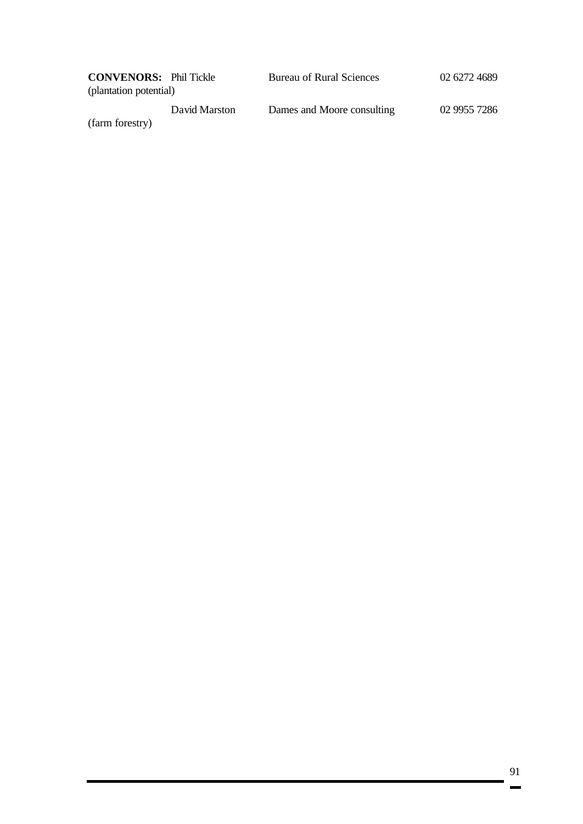| <b>CONVENORS:</b> Phil Tickle |               | <b>Bureau of Rural Sciences</b> | 02 6272 4689 |
|-------------------------------|---------------|---------------------------------|--------------|
| (plantation potential)        |               |                                 |              |
|                               | David Marston | Dames and Moore consulting      | 02 9955 7286 |

(farm forestry)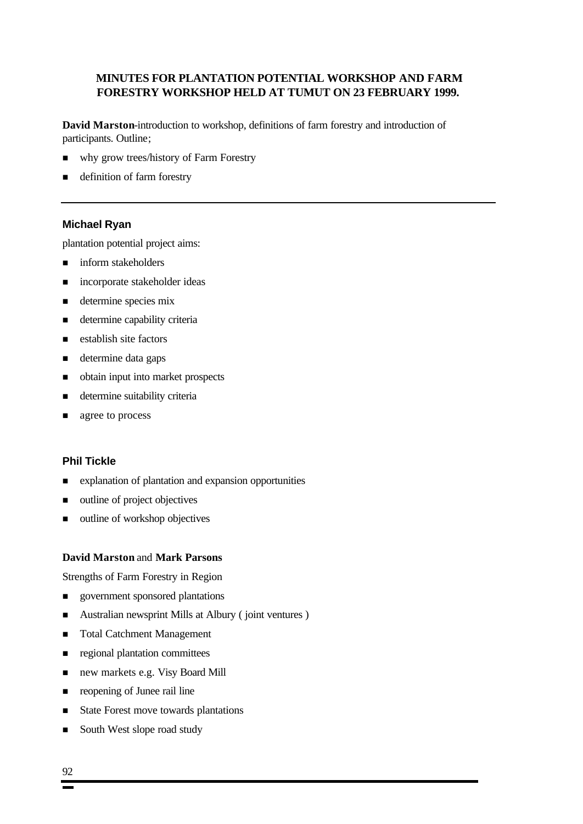# **MINUTES FOR PLANTATION POTENTIAL WORKSHOP AND FARM FORESTRY WORKSHOP HELD AT TUMUT ON 23 FEBRUARY 1999.**

**David Marston**-introduction to workshop, definitions of farm forestry and introduction of participants. Outline;

- n why grow trees/history of Farm Forestry
- definition of farm forestry

#### **Michael Ryan**

plantation potential project aims:

- $\blacksquare$  inform stakeholders
- n incorporate stakeholder ideas
- **n** determine species mix
- n determine capability criteria
- establish site factors
- determine data gaps
- n obtain input into market prospects
- n determine suitability criteria
- **n** agree to process

### **Phil Tickle**

- $\blacksquare$  explanation of plantation and expansion opportunities
- outline of project objectives
- outline of workshop objectives

#### **David Marston** and **Mark Parsons**

Strengths of Farm Forestry in Region

- **n** government sponsored plantations
- Australian newsprint Mills at Albury ( joint ventures )
- Total Catchment Management
- n regional plantation committees
- new markets e.g. Visy Board Mill
- n reopening of Junee rail line
- State Forest move towards plantations
- South West slope road study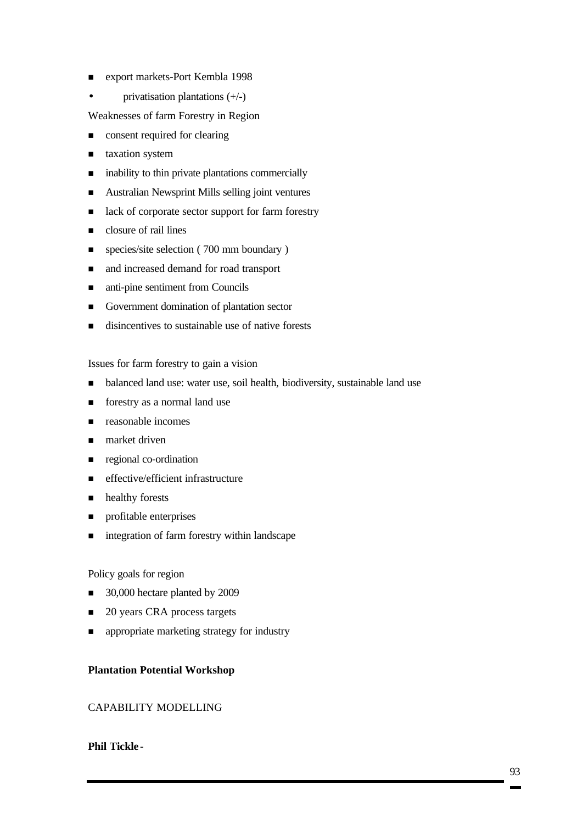- export markets-Port Kembla 1998
- privatisation plantations  $(+/-)$

Weaknesses of farm Forestry in Region

- **n** consent required for clearing
- **n** taxation system
- n inability to thin private plantations commercially
- n Australian Newsprint Mills selling joint ventures
- n lack of corporate sector support for farm forestry
- **n** closure of rail lines
- n species/site selection (700 mm boundary)
- $\blacksquare$  and increased demand for road transport
- anti-pine sentiment from Councils
- n Government domination of plantation sector
- $\blacksquare$  disincentives to sustainable use of native forests

Issues for farm forestry to gain a vision

- balanced land use: water use, soil health, biodiversity, sustainable land use
- forestry as a normal land use
- $\blacksquare$  reasonable incomes
- $\blacksquare$  market driven
- n regional co-ordination
- effective/efficient infrastructure
- **n** healthy forests
- **n** profitable enterprises
- $\blacksquare$  integration of farm forestry within landscape

#### Policy goals for region

- 30,000 hectare planted by 2009
- 20 years CRA process targets
- n appropriate marketing strategy for industry

### **Plantation Potential Workshop**

#### CAPABILITY MODELLING

### **Phil Tickle** -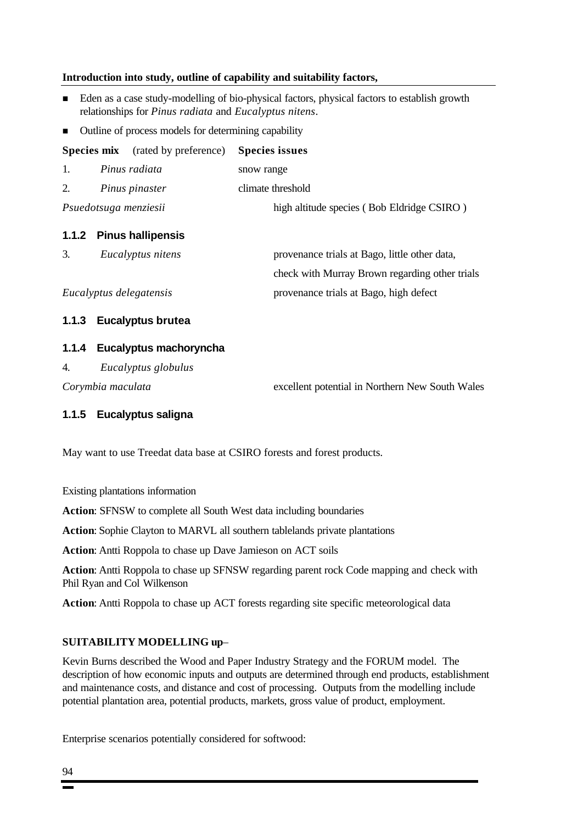#### **Introduction into study, outline of capability and suitability factors,**

- n Eden as a case study-modelling of bio-physical factors, physical factors to establish growth relationships for *Pinus radiata* and *Eucalyptus nitens*.
- Outline of process models for determining capability

**Species mix** (rated by preference) **Species issues**

1. *Pinus radiata* snow range 2. *Pinus pinaster* climate threshold *Psuedotsuga menziesii* high altitude species ( Bob Eldridge CSIRO )

### **1.1.2 Pinus hallipensis**

| Eucalyptus nitens       | provenance trials at Bago, little other data,  |
|-------------------------|------------------------------------------------|
|                         | check with Murray Brown regarding other trials |
| Eucalyptus delegatensis | provenance trials at Bago, high defect         |

#### **1.1.3 Eucalyptus brutea**

#### **1.1.4 Eucalyptus machoryncha**

4. *Eucalyptus globulus*

*Corymbia maculata* excellent potential in Northern New South Wales

### **1.1.5 Eucalyptus saligna**

May want to use Treedat data base at CSIRO forests and forest products.

Existing plantations information

**Action**: SFNSW to complete all South West data including boundaries

**Action**: Sophie Clayton to MARVL all southern tablelands private plantations

**Action**: Antti Roppola to chase up Dave Jamieson on ACT soils

**Action**: Antti Roppola to chase up SFNSW regarding parent rock Code mapping and check with Phil Ryan and Col Wilkenson

**Action**: Antti Roppola to chase up ACT forests regarding site specific meteorological data

#### **SUITABILITY MODELLING up**–

Kevin Burns described the Wood and Paper Industry Strategy and the FORUM model. The description of how economic inputs and outputs are determined through end products, establishment and maintenance costs, and distance and cost of processing. Outputs from the modelling include potential plantation area, potential products, markets, gross value of product, employment.

Enterprise scenarios potentially considered for softwood: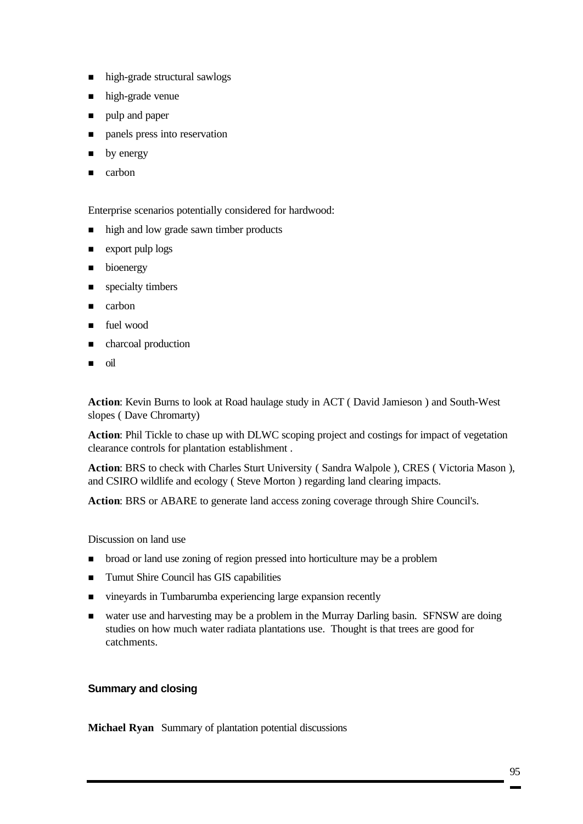- high-grade structural sawlogs
- $\blacksquare$  high-grade venue
- ulp and paper
- n panels press into reservation
- $\blacksquare$  by energy
- **n** carbon

Enterprise scenarios potentially considered for hardwood:

- n high and low grade sawn timber products
- $\blacksquare$  export pulp logs
- $\blacksquare$  bioenergy
- $\blacksquare$  specialty timbers
- $\Box$  carbon
- $\blacksquare$  fuel wood
- charcoal production
- $\blacksquare$  oil

**Action**: Kevin Burns to look at Road haulage study in ACT ( David Jamieson ) and South-West slopes ( Dave Chromarty)

**Action**: Phil Tickle to chase up with DLWC scoping project and costings for impact of vegetation clearance controls for plantation establishment .

**Action**: BRS to check with Charles Sturt University ( Sandra Walpole ), CRES ( Victoria Mason ), and CSIRO wildlife and ecology ( Steve Morton ) regarding land clearing impacts.

**Action**: BRS or ABARE to generate land access zoning coverage through Shire Council's.

Discussion on land use

- n broad or land use zoning of region pressed into horticulture may be a problem
- Tumut Shire Council has GIS capabilities
- n vineyards in Tumbarumba experiencing large expansion recently
- water use and harvesting may be a problem in the Murray Darling basin. SFNSW are doing studies on how much water radiata plantations use. Thought is that trees are good for catchments.

### **Summary and closing**

**Michael Ryan** Summary of plantation potential discussions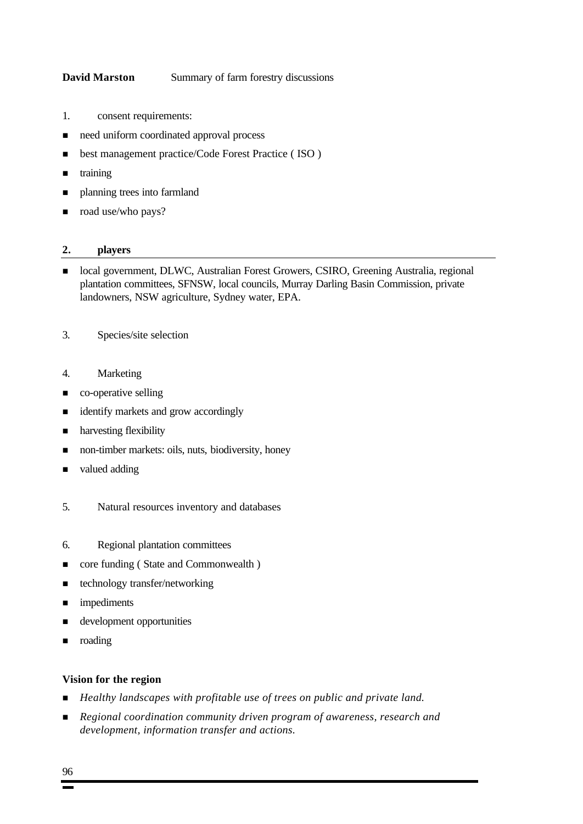#### **David Marston** Summary of farm forestry discussions

- 1. consent requirements:
- need uniform coordinated approval process
- best management practice/Code Forest Practice (ISO)
- $\blacksquare$  training
- planning trees into farmland
- $\Box$  road use/who pays?

#### **2. players**

- n local government, DLWC, Australian Forest Growers, CSIRO, Greening Australia, regional plantation committees, SFNSW, local councils, Murray Darling Basin Commission, private landowners, NSW agriculture, Sydney water, EPA.
- 3. Species/site selection
- 4. Marketing
- **n** co-operative selling
- identify markets and grow accordingly
- **n** harvesting flexibility
- non-timber markets: oils, nuts, biodiversity, honey
- valued adding
- 5. Natural resources inventory and databases
- 6. Regional plantation committees
- core funding ( State and Commonwealth )
- $\blacksquare$  technology transfer/networking
- **n** impediments
- n development opportunities
- **n** roading

#### **Vision for the region**

- *Healthy landscapes with profitable use of trees on public and private land.*
- n *Regional coordination community driven program of awareness, research and development, information transfer and actions.*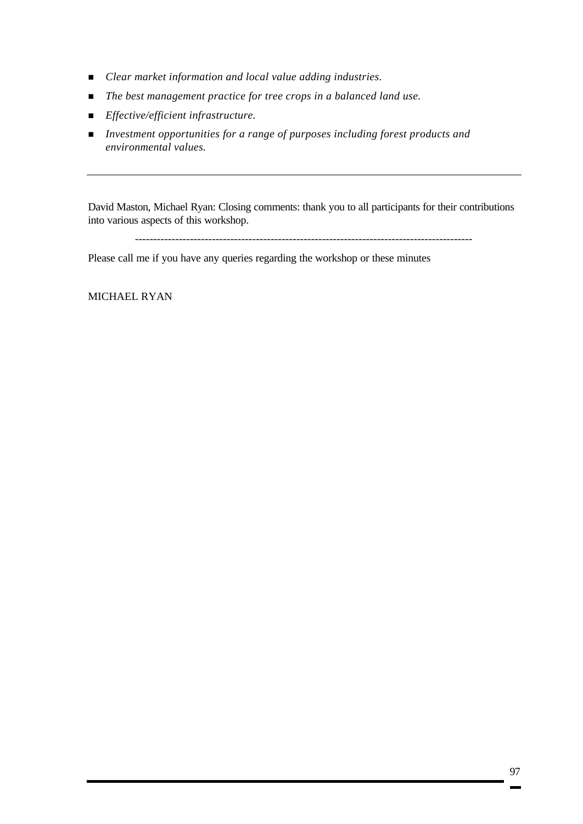- n *Clear market information and local value adding industries.*
- The best management practice for tree crops in a balanced land use.
- n *Effective/efficient infrastructure.*
- *Investment opportunities for a range of purposes including forest products and environmental values.*

David Maston, Michael Ryan: Closing comments: thank you to all participants for their contributions into various aspects of this workshop.

--------------------------------------------------------------------------------------------

Please call me if you have any queries regarding the workshop or these minutes

MICHAEL RYAN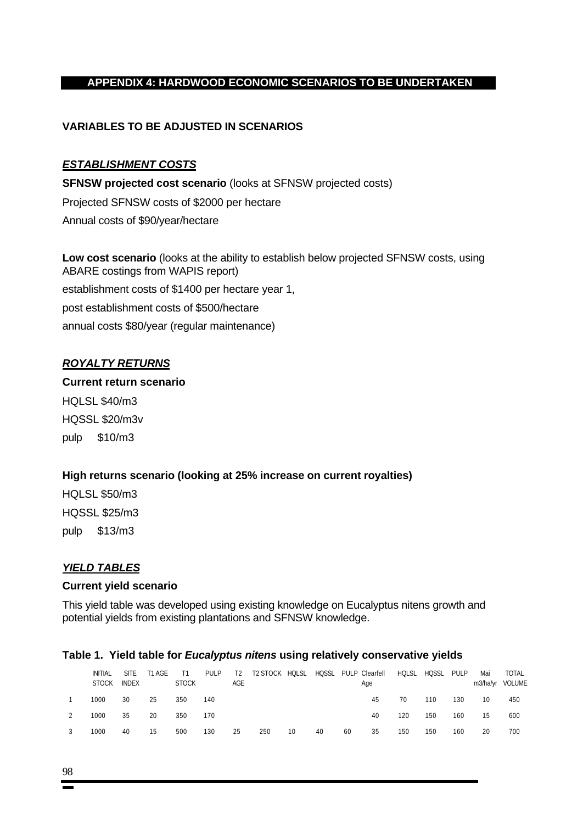# **APPENDIX 4: HARDWOOD ECONOMIC SCENARIOS TO BE UNDERTAKEN**

### **VARIABLES TO BE ADJUSTED IN SCENARIOS**

### *ESTABLISHMENT COSTS*

**SFNSW projected cost scenario** (looks at SFNSW projected costs) Projected SFNSW costs of \$2000 per hectare Annual costs of \$90/year/hectare

**Low cost scenario** (looks at the ability to establish below projected SFNSW costs, using ABARE costings from WAPIS report) establishment costs of \$1400 per hectare year 1, post establishment costs of \$500/hectare annual costs \$80/year (regular maintenance)

### *ROYALTY RETURNS*

### **Current return scenario**

HQLSL \$40/m3 HQSSL \$20/m3v pulp \$10/m3

### **High returns scenario (looking at 25% increase on current royalties)**

HQLSL \$50/m3 HQSSL \$25/m3 pulp \$13/m3

### *YIELD TABLES*

### **Current yield scenario**

This yield table was developed using existing knowledge on Eucalyptus nitens growth and potential yields from existing plantations and SFNSW knowledge.

| Table 1. Theid table for <i>Eucalyptus nitens</i> using relatively conservative yields |                                |                             |        |              |       |           |          |       |              |    |                       |        |              |       |                 |                 |
|----------------------------------------------------------------------------------------|--------------------------------|-----------------------------|--------|--------------|-------|-----------|----------|-------|--------------|----|-----------------------|--------|--------------|-------|-----------------|-----------------|
|                                                                                        | <b>INITIAI</b><br><b>STOCK</b> | <b>SITF</b><br><b>INDFX</b> | T1 AGF | <b>STOCK</b> | PUI P | T2<br>AGF | T2 STOCK | HOLSL | <b>HOSSL</b> |    | PULP Clearfell<br>Age | HOI SI | <b>HOSSI</b> | PUI P | Mai<br>m3/ha/vr | TOTAI<br>VOLUME |
|                                                                                        | 1000                           | 30                          | 25     | 350          | 140   |           |          |       |              |    | 45                    | 70     | 110          | 130   | 10              | 450             |
|                                                                                        | 1000                           | 35                          | 20     | 350          | 170   |           |          |       |              |    | 40                    | 120    | 150          | 160   | 15              | 600             |
|                                                                                        | 1000                           | 40                          | 15     | 500          | 130   | 25        | 250      | 10    | 40           | 60 | 35                    | 150    | 150          | 160   | 20              | 700             |

# **Table 1. Yield table for** *Eucalyptus nitens* **using relatively conservative yields**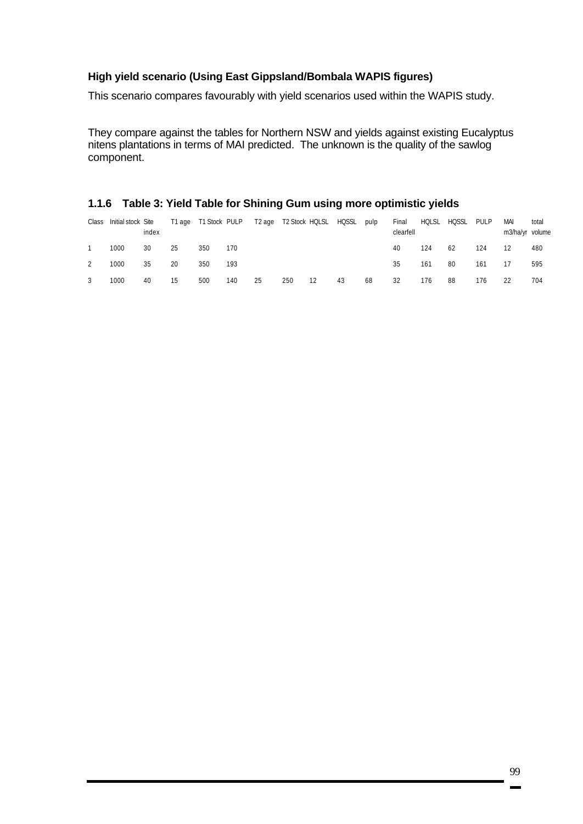### **High yield scenario (Using East Gippsland/Bombala WAPIS figures)**

This scenario compares favourably with yield scenarios used within the WAPIS study.

They compare against the tables for Northern NSW and yields against existing Eucalyptus nitens plantations in terms of MAI predicted. The unknown is the quality of the sawlog component.

### **1.1.6 Table 3: Yield Table for Shining Gum using more optimistic yields**

| Class | Initial stock Site | index |    | T1 age T1 Stock PULP |     |    |     | T2 age T2 Stock HQLSL HQSSL |    | pulp | Final<br>clearfell | HQLSL | HQSSL | PULP | MAI<br>m3/ha/yr volume | total |
|-------|--------------------|-------|----|----------------------|-----|----|-----|-----------------------------|----|------|--------------------|-------|-------|------|------------------------|-------|
|       | 1000               | 30    | 25 | 350                  | 170 |    |     |                             |    |      | 40                 | 124   | 62    | 124  | 12                     | 480   |
| 2     | 1000               | 35    | 20 | 350                  | 193 |    |     |                             |    |      | 35                 | 161   | 80    | 161  | 17                     | 595   |
|       | 1000               | 40    | 15 | 500                  | 140 | 25 | 250 | 12                          | 43 | 68   | 32                 | 176   | 88    | 176  |                        | 704   |